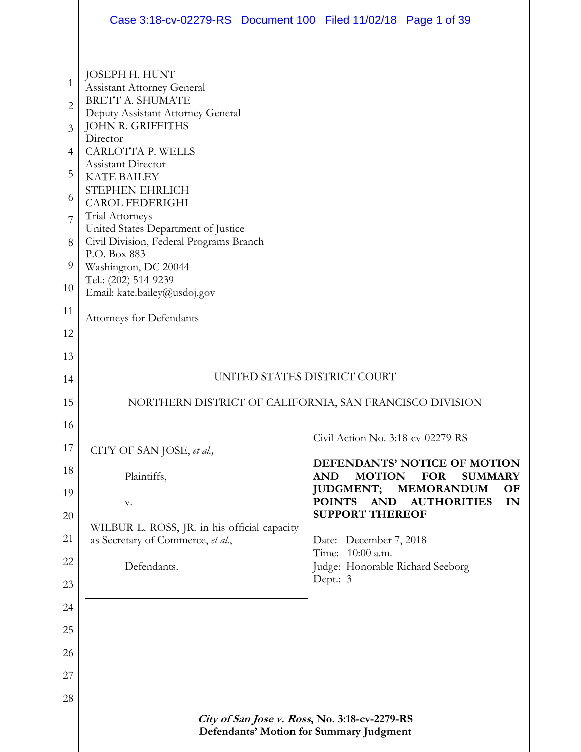|                     | Case 3:18-cv-02279-RS Document 100 Filed 11/02/18 Page 1 of 39                           |                                                 |                                                              |
|---------------------|------------------------------------------------------------------------------------------|-------------------------------------------------|--------------------------------------------------------------|
|                     | JOSEPH H. HUNT                                                                           |                                                 |                                                              |
| 1                   | <b>Assistant Attorney General</b><br><b>BRETT A. SHUMATE</b>                             |                                                 |                                                              |
| $\overline{2}$<br>3 | Deputy Assistant Attorney General<br>JOHN R. GRIFFITHS                                   |                                                 |                                                              |
| $\overline{4}$      | Director<br>CARLOTTA P. WELLS                                                            |                                                 |                                                              |
| 5                   | Assistant Director<br><b>KATE BAILEY</b>                                                 |                                                 |                                                              |
| 6                   | STEPHEN EHRLICH                                                                          |                                                 |                                                              |
| 7                   | <b>CAROL FEDERIGHI</b><br>Trial Attorneys                                                |                                                 |                                                              |
| 8                   | United States Department of Justice<br>Civil Division, Federal Programs Branch           |                                                 |                                                              |
| 9                   | P.O. Box 883<br>Washington, DC 20044                                                     |                                                 |                                                              |
| 10                  | Tel.: (202) 514-9239<br>Email: kate.bailey@usdoj.gov                                     |                                                 |                                                              |
| 11                  | Attorneys for Defendants                                                                 |                                                 |                                                              |
| 12                  |                                                                                          |                                                 |                                                              |
| 13                  |                                                                                          |                                                 |                                                              |
| 14                  |                                                                                          | UNITED STATES DISTRICT COURT                    |                                                              |
| 15                  | NORTHERN DISTRICT OF CALIFORNIA, SAN FRANCISCO DIVISION                                  |                                                 |                                                              |
| 16                  |                                                                                          | Civil Action No. 3:18-cv-02279-RS               |                                                              |
| 17                  | CITY OF SAN JOSE, et al.,                                                                |                                                 |                                                              |
| 18                  | Plaintiffs,                                                                              | <b>AND</b><br><b>MOTION</b>                     | DEFENDANTS' NOTICE OF MOTION<br><b>FOR</b><br><b>SUMMARY</b> |
| 19                  | v.                                                                                       | <b>JUDGMENT;</b><br><b>POINTS</b><br><b>AND</b> | <b>MEMORANDUM</b><br><b>OF</b><br><b>AUTHORITIES</b><br>IN   |
| 20                  | WILBUR L. ROSS, JR. in his official capacity                                             | <b>SUPPORT THEREOF</b>                          |                                                              |
| 21                  | as Secretary of Commerce, et al.,                                                        | Date: December 7, 2018<br>Time: 10:00 a.m.      |                                                              |
| 22                  | Defendants.                                                                              | Judge: Honorable Richard Seeborg                |                                                              |
| 23                  |                                                                                          | Dept.: 3                                        |                                                              |
| 24                  |                                                                                          |                                                 |                                                              |
| 25                  |                                                                                          |                                                 |                                                              |
| 26                  |                                                                                          |                                                 |                                                              |
| 27                  |                                                                                          |                                                 |                                                              |
| 28                  |                                                                                          |                                                 |                                                              |
|                     | City of San Jose v. Ross, No. 3:18-cv-2279-RS<br>Defendants' Motion for Summary Judgment |                                                 |                                                              |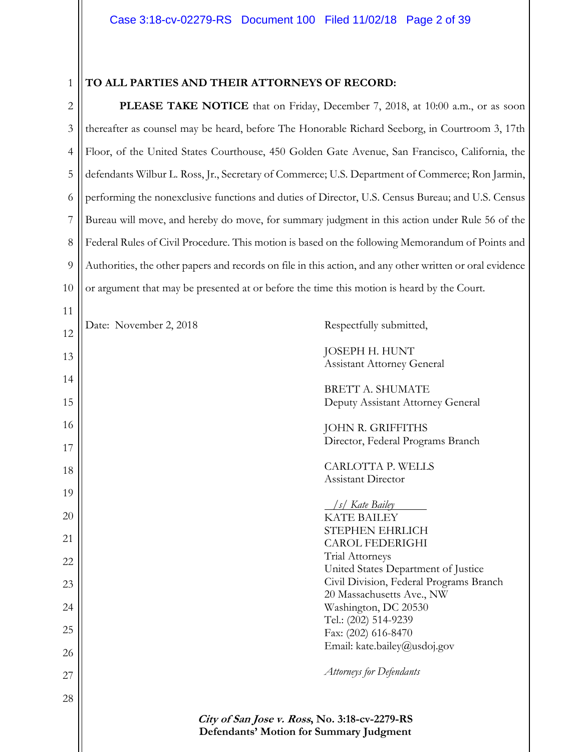# 1

11

#### **TO ALL PARTIES AND THEIR ATTORNEYS OF RECORD:**

2 3 4 5 6 7 8 9 10 **PLEASE TAKE NOTICE** that on Friday, December 7, 2018, at 10:00 a.m., or as soon thereafter as counsel may be heard, before The Honorable Richard Seeborg, in Courtroom 3, 17th Floor, of the United States Courthouse, 450 Golden Gate Avenue, San Francisco, California, the defendants Wilbur L. Ross, Jr., Secretary of Commerce; U.S. Department of Commerce; Ron Jarmin, performing the nonexclusive functions and duties of Director, U.S. Census Bureau; and U.S. Census Bureau will move, and hereby do move, for summary judgment in this action under Rule 56 of the Federal Rules of Civil Procedure. This motion is based on the following Memorandum of Points and Authorities, the other papers and records on file in this action, and any other written or oral evidence or argument that may be presented at or before the time this motion is heard by the Court.

**City of San Jose v. Ross, No. 3:18-cv-2279-RS Defendants' Motion for Summary Judgment**  12 13 14 15 16 17 18 19 20 21 22 23 24 25 26 27 28 Date: November 2, 2018 Respectfully submitted, JOSEPH H. HUNT Assistant Attorney General BRETT A. SHUMATE Deputy Assistant Attorney General JOHN R. GRIFFITHS Director, Federal Programs Branch CARLOTTA P. WELLS Assistant Director  */s/ Kate Bailey*  KATE BAILEY STEPHEN EHRLICH CAROL FEDERIGHI Trial Attorneys United States Department of Justice Civil Division, Federal Programs Branch 20 Massachusetts Ave., NW Washington, DC 20530 Tel.: (202) 514-9239 Fax: (202) 616-8470 Email: kate.bailey@usdoj.gov *Attorneys for Defendants*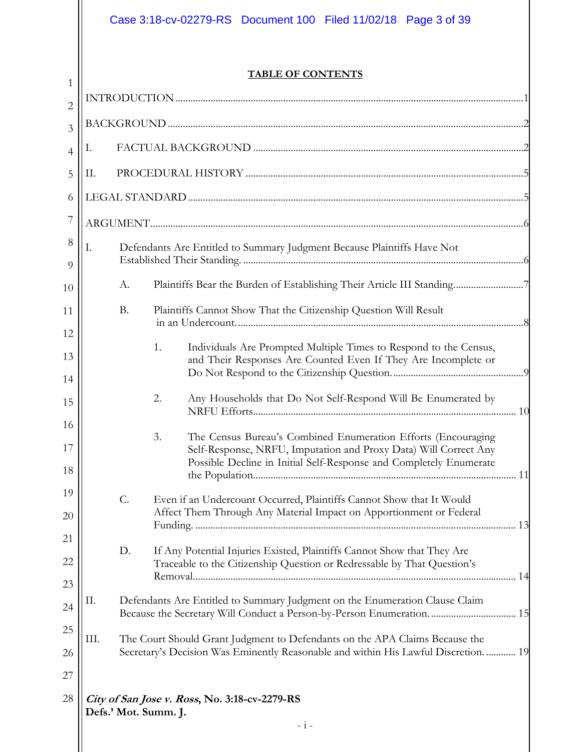# Case 3:18-cv-02279-RS Document 100 Filed 11/02/18 Page 3 of 39

### **TABLE OF CONTENTS**

| $\overline{2}$ |      |           |                                                                                                                                                     |
|----------------|------|-----------|-----------------------------------------------------------------------------------------------------------------------------------------------------|
| 3              |      |           |                                                                                                                                                     |
| $\overline{4}$ | Ι.   |           |                                                                                                                                                     |
| 5              | Π.   |           |                                                                                                                                                     |
| 6              |      |           |                                                                                                                                                     |
| $\overline{7}$ |      |           |                                                                                                                                                     |
| $\,8\,$<br>9   | I.   |           | Defendants Are Entitled to Summary Judgment Because Plaintiffs Have Not                                                                             |
| 10             |      | А.        | Plaintiffs Bear the Burden of Establishing Their Article III Standing7                                                                              |
| 11             |      | <b>B.</b> | Plaintiffs Cannot Show That the Citizenship Question Will Result                                                                                    |
| 12             |      |           | Individuals Are Prompted Multiple Times to Respond to the Census,<br>1.                                                                             |
| 13             |      |           | and Their Responses Are Counted Even If They Are Incomplete or                                                                                      |
| 14             |      |           |                                                                                                                                                     |
| 15             |      |           | Any Households that Do Not Self-Respond Will Be Enumerated by<br>2.                                                                                 |
| 16             |      |           | 3.<br>The Census Bureau's Combined Enumeration Efforts (Encouraging                                                                                 |
| 17<br>18       |      |           | Self-Response, NRFU, Imputation and Proxy Data) Will Correct Any<br>Possible Decline in Initial Self-Response and Completely Enumerate              |
| 19             |      |           | Even if an Undercount Occurred, Plaintiffs Cannot Show that It Would                                                                                |
| 20             |      |           | Affect Them Through Any Material Impact on Apportionment or Federal                                                                                 |
| 21             |      |           |                                                                                                                                                     |
| 22             |      | D.        | If Any Potential Injuries Existed, Plaintiffs Cannot Show that They Are<br>Traceable to the Citizenship Question or Redressable by That Question's  |
| 23             |      |           |                                                                                                                                                     |
| 24             | Π.   |           | Defendants Are Entitled to Summary Judgment on the Enumeration Clause Claim<br>Because the Secretary Will Conduct a Person-by-Person Enumeration 15 |
| 25             | III. |           | The Court Should Grant Judgment to Defendants on the APA Claims Because the                                                                         |
| 26             |      |           | Secretary's Decision Was Eminently Reasonable and within His Lawful Discretion 19                                                                   |
| 27             |      |           |                                                                                                                                                     |
| 28             |      |           | City of San Jose v. Ross, No. 3:18-cv-2279-RS<br>Defs.' Mot. Summ. J.<br>$- i -$                                                                    |
|                |      |           |                                                                                                                                                     |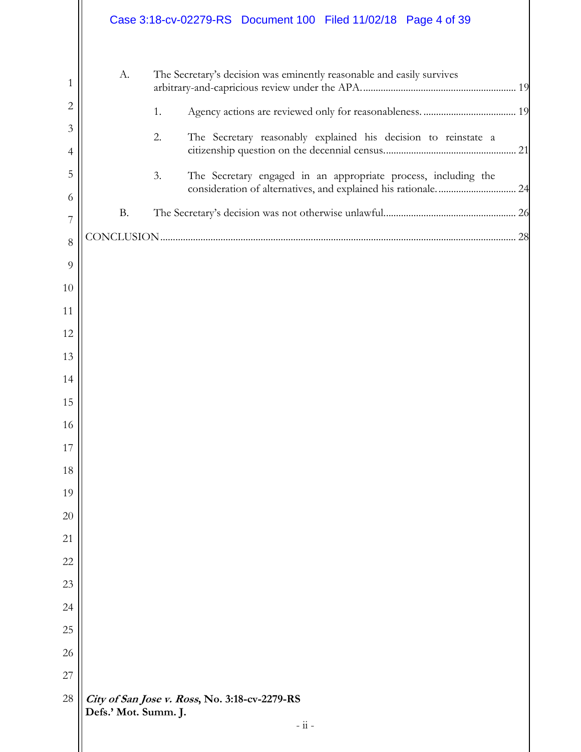|                     |                      | Case 3:18-cv-02279-RS  Document 100  Filed 11/02/18  Page 4 of 39                                                                     |  |
|---------------------|----------------------|---------------------------------------------------------------------------------------------------------------------------------------|--|
| 1                   | A.                   | The Secretary's decision was eminently reasonable and easily survives                                                                 |  |
| $\overline{2}$      |                      | 1.                                                                                                                                    |  |
| 3<br>$\overline{4}$ |                      | The Secretary reasonably explained his decision to reinstate a<br>2.                                                                  |  |
| 5                   |                      | The Secretary engaged in an appropriate process, including the<br>3.<br>consideration of alternatives, and explained his rationale 24 |  |
| 6                   | <b>B.</b>            |                                                                                                                                       |  |
| 7                   |                      |                                                                                                                                       |  |
| 8                   |                      |                                                                                                                                       |  |
| 9<br>10             |                      |                                                                                                                                       |  |
| 11                  |                      |                                                                                                                                       |  |
| 12                  |                      |                                                                                                                                       |  |
| 13                  |                      |                                                                                                                                       |  |
| 14                  |                      |                                                                                                                                       |  |
| 15                  |                      |                                                                                                                                       |  |
| 16                  |                      |                                                                                                                                       |  |
| 17                  |                      |                                                                                                                                       |  |
| 18                  |                      |                                                                                                                                       |  |
| 19                  |                      |                                                                                                                                       |  |
| 20                  |                      |                                                                                                                                       |  |
| 21                  |                      |                                                                                                                                       |  |
| 22                  |                      |                                                                                                                                       |  |
| 23                  |                      |                                                                                                                                       |  |
| 24                  |                      |                                                                                                                                       |  |
| 25                  |                      |                                                                                                                                       |  |
| 26                  |                      |                                                                                                                                       |  |
| 27                  |                      |                                                                                                                                       |  |
| 28                  | Defs.' Mot. Summ. J. | City of San Jose v. Ross, No. 3:18-cv-2279-RS<br>$ \frac{}{11}$ -                                                                     |  |
|                     |                      |                                                                                                                                       |  |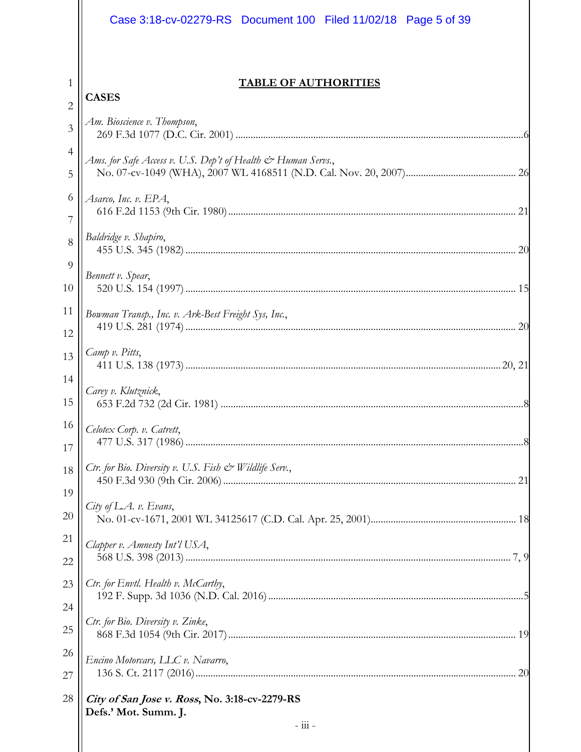|                 | Case 3:18-cv-02279-RS  Document 100  Filed 11/02/18  Page 5 of 39     |
|-----------------|-----------------------------------------------------------------------|
|                 |                                                                       |
| 1               | <b>TABLE OF AUTHORITIES</b>                                           |
| 2               | <b>CASES</b>                                                          |
| 3               | Am. Bioscience v. Thompson,                                           |
| $\overline{4}$  | Ams. for Safe Access v. U.S. Dep't of Health & Human Servs.,          |
| 5               |                                                                       |
| 6               | Asarco, Inc. v. EPA,                                                  |
| 7               |                                                                       |
| 8               | Baldridge v. Shapiro,                                                 |
| 9               | Bennett v. Spear,                                                     |
| 10              |                                                                       |
| 11              | Bowman Transp., Inc. v. Ark-Best Freight Sys, Inc.,                   |
| 12              |                                                                       |
| 13              | Camp v. Pitts,                                                        |
| 14              | Carey v. Klutznick,                                                   |
| 15              |                                                                       |
| 16 <sup>1</sup> | Celotex Corp. v. Catrett,                                             |
| 17              |                                                                       |
| 18              | Ctr. for Bio. Diversity v. U.S. Fish & Wildlife Serv.,                |
| 19              |                                                                       |
| 20              | City of L.A. v. Evans,                                                |
| 21              | Clapper v. Amnesty Int'l USA,                                         |
| 22              |                                                                       |
| 23              | Ctr. for Envtl. Health v. McCarthy,                                   |
| 24              |                                                                       |
| 25              | Ctr. for Bio. Diversity v. Zinke,                                     |
| 26              | Encino Motorcars, LLC v. Navarro,                                     |
| 27              | 20                                                                    |
| 28              | City of San Jose v. Ross, No. 3:18-cv-2279-RS<br>Defs.' Mot. Summ. J. |
|                 | $ \frac{}{111}$ -                                                     |
|                 |                                                                       |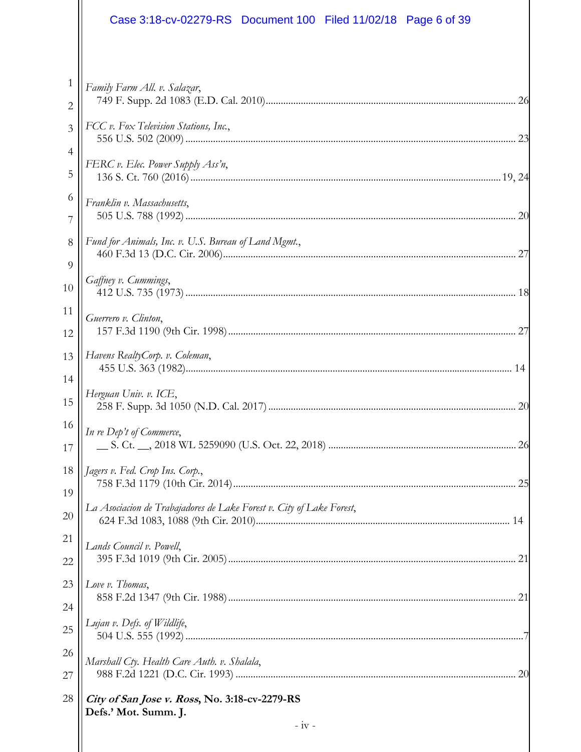|                 | Case 3:18-cv-02279-RS Document 100 Filed 11/02/18 Page 6 of 39        |  |
|-----------------|-----------------------------------------------------------------------|--|
|                 |                                                                       |  |
| 1<br>2          | Family Farm All. v. Salazar,                                          |  |
| 3               | FCC v. Fox Television Stations, Inc.,                                 |  |
| 4               |                                                                       |  |
| 5               | FERC v. Elec. Power Supply Ass'n,                                     |  |
| 6               | Franklin v. Massachusetts,                                            |  |
| 7               |                                                                       |  |
| $8\,$           | Fund for Animals, Inc. v. U.S. Bureau of Land Mgmt.,                  |  |
| 9               | Gaffney v. Cummings,                                                  |  |
| 10              |                                                                       |  |
| 11<br>12        | Guerrero v. Clinton,                                                  |  |
| 13              | Havens RealtyCorp. v. Coleman,                                        |  |
| 14<br>15        | Herguan Univ. v. ICE,                                                 |  |
| 16 <sup>1</sup> |                                                                       |  |
| 17              | In re Dep't of Commerce,                                              |  |
| 18              | Jagers v. Fed. Crop Ins. Corp.,                                       |  |
| 19              | 25                                                                    |  |
| 20              | La Asociacion de Trabajadores de Lake Forest v. City of Lake Forest,  |  |
| 21              | Lands Council v. Powell,                                              |  |
| 22              |                                                                       |  |
| 23              | Love v. Thomas,                                                       |  |
| 24              | Lujan v. Defs. of Wildlife,                                           |  |
| 25              |                                                                       |  |
| 26              | Marshall Cty. Health Care Auth. v. Shalala,                           |  |
| 27              |                                                                       |  |
| 28              | City of San Jose v. Ross, No. 3:18-cv-2279-RS<br>Defs.' Mot. Summ. J. |  |
|                 | $-iv -$                                                               |  |
|                 |                                                                       |  |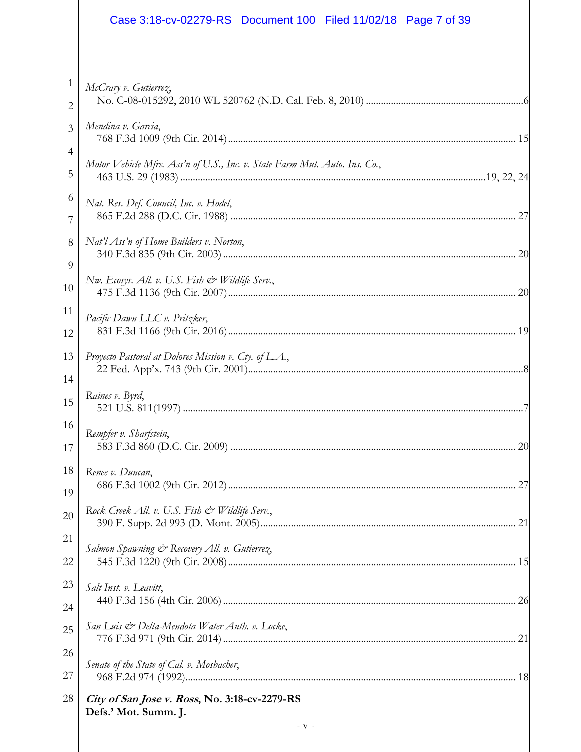|    | Case 3:18-cv-02279-RS  Document 100  Filed 11/02/18  Page 7 of 39          |
|----|----------------------------------------------------------------------------|
|    |                                                                            |
| 1  | McCrary v. Gutierrez,                                                      |
| 2  |                                                                            |
| 3  | Mendina v. Garcia,                                                         |
| 4  | Motor Vehicle Mfrs. Ass'n of U.S., Inc. v. State Farm Mut. Auto. Ins. Co., |
| 5  |                                                                            |
| 6  | Nat. Res. Def. Council, Inc. v. Hodel,                                     |
| 7  |                                                                            |
| 8  | Nat'l Ass'n of Home Builders v. Norton,                                    |
| 9  | Nw. Ecosys. All. v. U.S. Fish & Wildlife Serv.,                            |
| 10 |                                                                            |
| 11 | Pacific Dawn LLC v. Pritzker,                                              |
| 12 |                                                                            |
| 13 | Proyecto Pastoral at Dolores Mission v. Cty. of L.A.,                      |
| 14 |                                                                            |
| 15 | Raines v. Byrd,                                                            |
| 16 | Rempfer v. Sharfstein,                                                     |
| 17 |                                                                            |
| 18 | Renee v. Duncan,                                                           |
| 19 |                                                                            |
| 20 | Rock Creek All. v. U.S. Fish & Wildlife Serv.,                             |
| 21 | Salmon Spawning & Recovery All. v. Gutierrez,                              |
| 22 |                                                                            |
| 23 | Salt Inst. v. Leavitt,                                                     |
| 24 |                                                                            |
| 25 | San Luis & Delta-Mendota Water Auth. v. Locke,                             |
| 26 | Senate of the State of Cal. v. Mosbacher,                                  |
| 27 |                                                                            |
| 28 | City of San Jose v. Ross, No. 3:18-cv-2279-RS<br>Defs.' Mot. Summ. J.      |
|    | $-V -$                                                                     |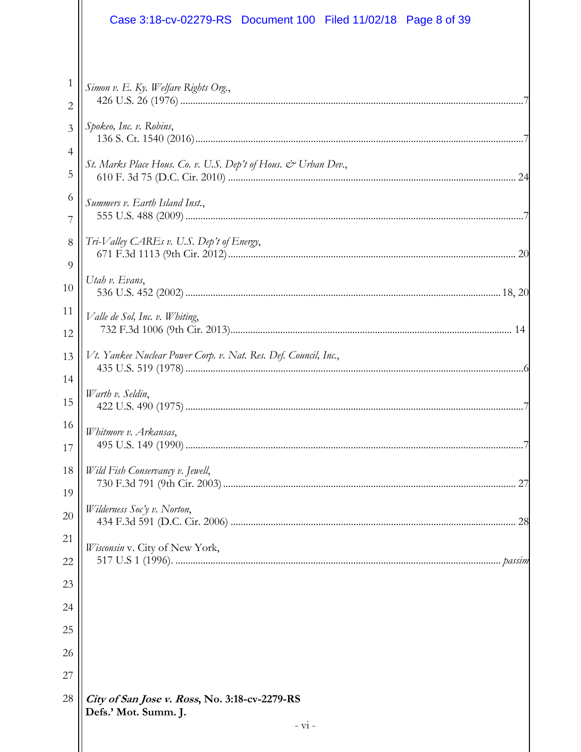|                | Case 3:18-cv-02279-RS Document 100 Filed 11/02/18 Page 8 of 39        |
|----------------|-----------------------------------------------------------------------|
|                |                                                                       |
| 1<br>2         | Simon v. E. Ky. Welfare Rights Org.,                                  |
| $\overline{3}$ | Spokeo, Inc. v. Robins,                                               |
| 4              |                                                                       |
| 5              | St. Marks Place Hous. Co. v. U.S. Dep't of Hous. & Urban Dev.,        |
| 6<br>7         | Summers v. Earth Island Inst.,                                        |
| 8              | Tri-Valley CAREs v. U.S. Dep't of Energy,                             |
| 9<br>10        | Utah v. Evans,                                                        |
| 11<br>12       | Valle de Sol, Inc. v. Whiting,                                        |
| 13             | Vt. Yankee Nuclear Power Corp. v. Nat. Res. Def. Council, Inc.,       |
| 14<br>15       | Warth v. Seldin,                                                      |
| 16<br>17       | Whitmore v. Arkansas,                                                 |
| 18<br>19       | Wild Fish Conservancy v. Jewell,<br>27                                |
| 20             | Wilderness Soc'y v. Norton,                                           |
| 21<br>22       | Wisconsin v. City of New York,                                        |
| 23             |                                                                       |
| 24             |                                                                       |
| 25             |                                                                       |
| 26             |                                                                       |
| 27             |                                                                       |
| 28             | City of San Jose v. Ross, No. 3:18-cv-2279-RS<br>Defs.' Mot. Summ. J. |
|                | $- vi -$                                                              |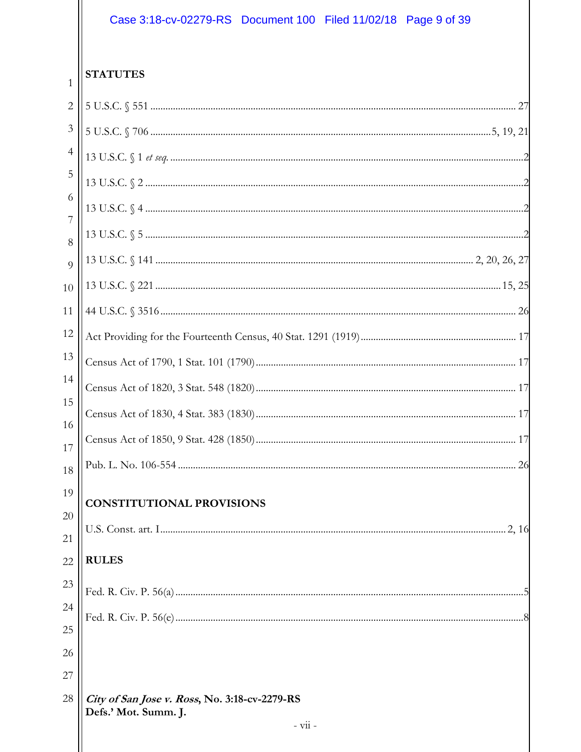# Case 3:18-cv-02279-RS Document 100 Filed 11/02/18 Page 9 of 39

| 1              | <b>STATUTES</b>                                                       |
|----------------|-----------------------------------------------------------------------|
| $\overline{2}$ |                                                                       |
| 3              |                                                                       |
| 4              |                                                                       |
| 5              |                                                                       |
| 6              |                                                                       |
| 7<br>8         |                                                                       |
| $\overline{Q}$ |                                                                       |
| 10             |                                                                       |
| 11             |                                                                       |
| 12             |                                                                       |
| 13             |                                                                       |
| 14             |                                                                       |
| 15             |                                                                       |
| 16<br>17       |                                                                       |
| 18             |                                                                       |
| 19             |                                                                       |
| 20             | <b>CONSTITUTIONAL PROVISIONS</b>                                      |
| 21             |                                                                       |
| 22             | <b>RULES</b>                                                          |
| 23             |                                                                       |
| 24             |                                                                       |
| 25             |                                                                       |
| 26<br>27       |                                                                       |
| 28             | City of San Jose v. Ross, No. 3:18-cv-2279-RS<br>Defs.' Mot. Summ. J. |
|                | - vii -                                                               |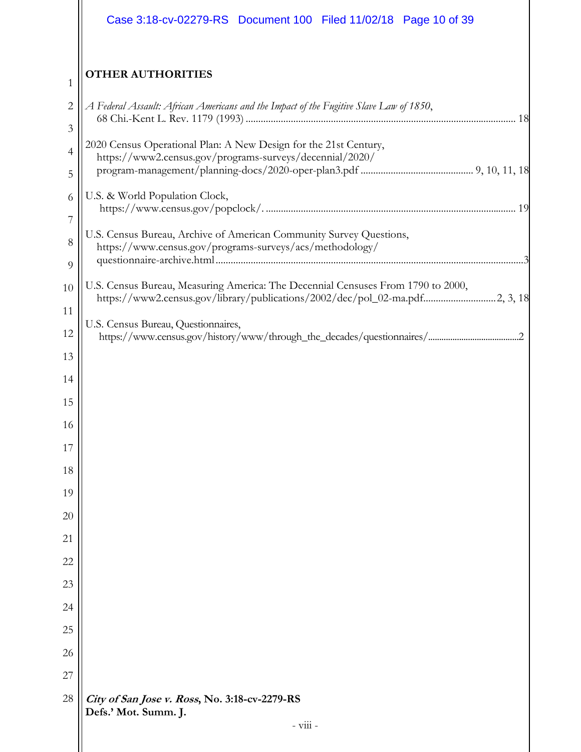|                     | Case 3:18-cv-02279-RS Document 100 Filed 11/02/18 Page 10 of 39                                                                                                 |
|---------------------|-----------------------------------------------------------------------------------------------------------------------------------------------------------------|
| 1                   | <b>OTHER AUTHORITIES</b>                                                                                                                                        |
| $\overline{c}$<br>3 | A Federal Assault: African Americans and the Impact of the Fugitive Slave Law of 1850,                                                                          |
| 4                   | 2020 Census Operational Plan: A New Design for the 21st Century,<br>https://www2.census.gov/programs-surveys/decennial/2020/                                    |
| 5<br>6              | U.S. & World Population Clock,                                                                                                                                  |
| 7                   | U.S. Census Bureau, Archive of American Community Survey Questions,                                                                                             |
| 8<br>9              | https://www.census.gov/programs-surveys/acs/methodology/                                                                                                        |
| 10                  | U.S. Census Bureau, Measuring America: The Decennial Censuses From 1790 to 2000,<br>https://www2.census.gov/library/publications/2002/dec/pol_02-ma.pdf2, 3, 18 |
| 11<br>12            | U.S. Census Bureau, Questionnaires,                                                                                                                             |
| 13                  |                                                                                                                                                                 |
| 14                  |                                                                                                                                                                 |
| 15                  |                                                                                                                                                                 |
| 16                  |                                                                                                                                                                 |
| 17                  |                                                                                                                                                                 |
| 18                  |                                                                                                                                                                 |
| 19                  |                                                                                                                                                                 |
| 20                  |                                                                                                                                                                 |
| 21                  |                                                                                                                                                                 |
| 22                  |                                                                                                                                                                 |
| 23                  |                                                                                                                                                                 |
| 24                  |                                                                                                                                                                 |
| 25                  |                                                                                                                                                                 |
| 26<br>27            |                                                                                                                                                                 |
| 28                  | City of San Jose v. Ross, No. 3:18-cv-2279-RS<br>Defs.' Mot. Summ. J.                                                                                           |
|                     | $-$ viii $-$                                                                                                                                                    |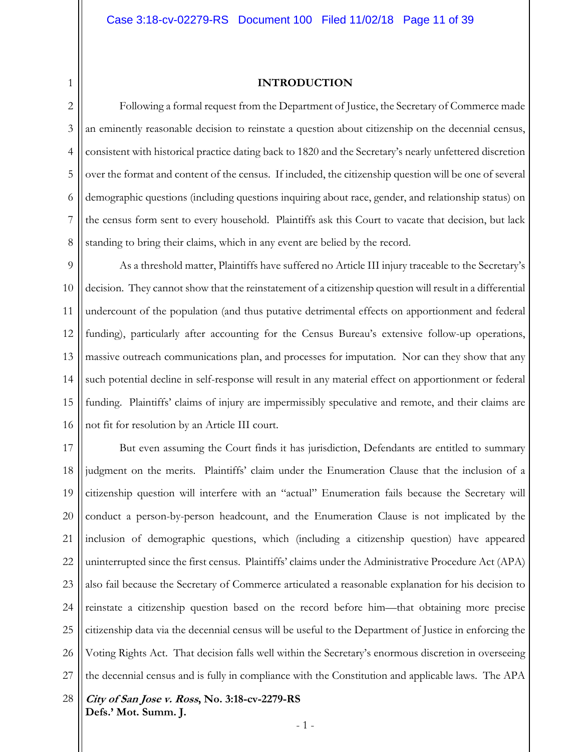1 2

#### **INTRODUCTION**

3 4 5 6 7 8 Following a formal request from the Department of Justice, the Secretary of Commerce made an eminently reasonable decision to reinstate a question about citizenship on the decennial census, consistent with historical practice dating back to 1820 and the Secretary's nearly unfettered discretion over the format and content of the census. If included, the citizenship question will be one of several demographic questions (including questions inquiring about race, gender, and relationship status) on the census form sent to every household. Plaintiffs ask this Court to vacate that decision, but lack standing to bring their claims, which in any event are belied by the record.

9 10 11 12 13 14 15 16 As a threshold matter, Plaintiffs have suffered no Article III injury traceable to the Secretary's decision. They cannot show that the reinstatement of a citizenship question will result in a differential undercount of the population (and thus putative detrimental effects on apportionment and federal funding), particularly after accounting for the Census Bureau's extensive follow-up operations, massive outreach communications plan, and processes for imputation. Nor can they show that any such potential decline in self-response will result in any material effect on apportionment or federal funding. Plaintiffs' claims of injury are impermissibly speculative and remote, and their claims are not fit for resolution by an Article III court.

17 18 19 20 21 22 23 24 25 26 27 But even assuming the Court finds it has jurisdiction, Defendants are entitled to summary judgment on the merits. Plaintiffs' claim under the Enumeration Clause that the inclusion of a citizenship question will interfere with an "actual" Enumeration fails because the Secretary will conduct a person-by-person headcount, and the Enumeration Clause is not implicated by the inclusion of demographic questions, which (including a citizenship question) have appeared uninterrupted since the first census. Plaintiffs' claims under the Administrative Procedure Act (APA) also fail because the Secretary of Commerce articulated a reasonable explanation for his decision to reinstate a citizenship question based on the record before him—that obtaining more precise citizenship data via the decennial census will be useful to the Department of Justice in enforcing the Voting Rights Act. That decision falls well within the Secretary's enormous discretion in overseeing the decennial census and is fully in compliance with the Constitution and applicable laws. The APA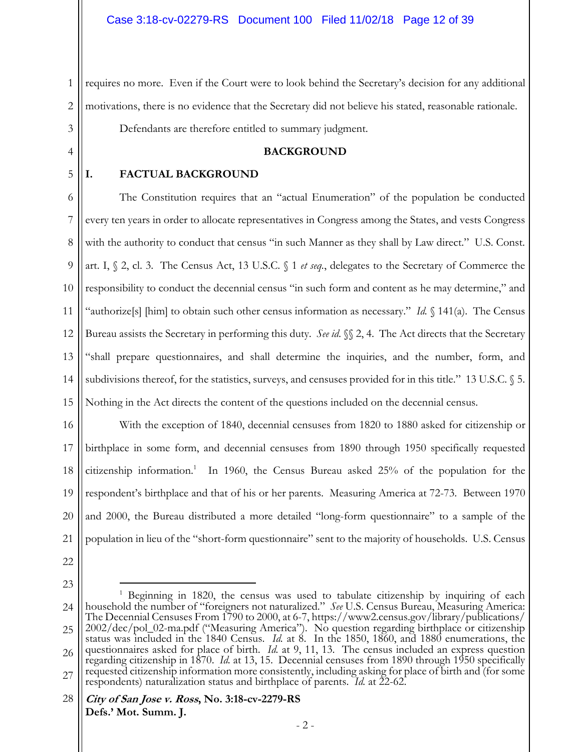1 2 3 requires no more. Even if the Court were to look behind the Secretary's decision for any additional motivations, there is no evidence that the Secretary did not believe his stated, reasonable rationale. Defendants are therefore entitled to summary judgment.

#### **BACKGROUND**

5

4

#### **I. FACTUAL BACKGROUND**

6 7 8 9 10 11 12 13 14 15 The Constitution requires that an "actual Enumeration" of the population be conducted every ten years in order to allocate representatives in Congress among the States, and vests Congress with the authority to conduct that census "in such Manner as they shall by Law direct." U.S. Const. art. I, § 2, cl. 3. The Census Act, 13 U.S.C. § 1 *et seq.*, delegates to the Secretary of Commerce the responsibility to conduct the decennial census "in such form and content as he may determine," and "authorize[s] [him] to obtain such other census information as necessary." *Id.* § 141(a). The Census Bureau assists the Secretary in performing this duty. *See id*. §§ 2, 4. The Act directs that the Secretary "shall prepare questionnaires, and shall determine the inquiries, and the number, form, and subdivisions thereof, for the statistics, surveys, and censuses provided for in this title." 13 U.S.C. § 5. Nothing in the Act directs the content of the questions included on the decennial census.

16 17 18 19 20 21 With the exception of 1840, decennial censuses from 1820 to 1880 asked for citizenship or birthplace in some form, and decennial censuses from 1890 through 1950 specifically requested citizenship information.<sup>1</sup> In 1960, the Census Bureau asked 25% of the population for the respondent's birthplace and that of his or her parents. Measuring America at 72-73. Between 1970 and 2000, the Bureau distributed a more detailed "long-form questionnaire" to a sample of the population in lieu of the "short-form questionnaire" sent to the majority of households. U.S. Census

- 22
- 23

 $\overline{a}$ 

<sup>24</sup> 25 26 27 <sup>1</sup> Beginning in 1820, the census was used to tabulate citizenship by inquiring of each household the number of "foreigners not naturalized." *See* U.S. Census Bureau, Measuring America: The Decennial Censuses From 1790 to 2000, at 6-7, https://www2.census.gov/library/publications/ 2002/dec/pol\_02-ma.pdf ("Measuring America"). No question regarding birthplace or citizenship status was included in the 1840 Census. *Id.* at 8. In the 1850, 1860, and 1880 enumerations, the questionnaires asked for place of birth. *Id.* at 9, 11, 13. The census included an express question regarding citizenship in 1870. *Id.* at 13, 15. Decennial censuses from 1890 through 1950 specifically requested citizenship information more consistently, including asking for place of birth and (for some respondents) naturalization status and birthplace of parents. *Id.* at 22-62.

**City of San Jose v. Ross, No. 3:18-cv-2279-RS Defs.' Mot. Summ. J.**  28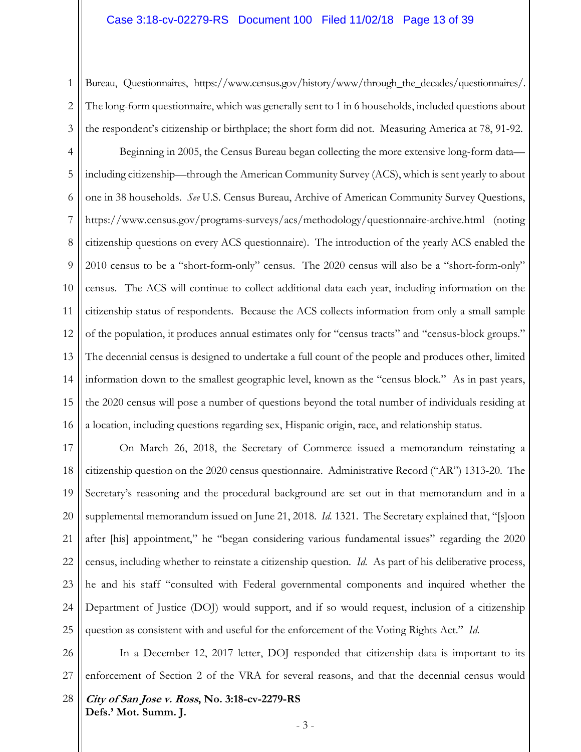#### Case 3:18-cv-02279-RS Document 100 Filed 11/02/18 Page 13 of 39

1 2 3 Bureau, Questionnaires, https://www.census.gov/history/www/through\_the\_decades/questionnaires/. The long-form questionnaire, which was generally sent to 1 in 6 households, included questions about the respondent's citizenship or birthplace; the short form did not. Measuring America at 78, 91-92.

4 5 6 7 8 9 10 11 12 13 14 15 16 Beginning in 2005, the Census Bureau began collecting the more extensive long-form data including citizenship—through the American Community Survey (ACS), which is sent yearly to about one in 38 households. *See* U.S. Census Bureau, Archive of American Community Survey Questions, https://www.census.gov/programs-surveys/acs/methodology/questionnaire-archive.html (noting citizenship questions on every ACS questionnaire). The introduction of the yearly ACS enabled the 2010 census to be a "short-form-only" census. The 2020 census will also be a "short-form-only" census. The ACS will continue to collect additional data each year, including information on the citizenship status of respondents. Because the ACS collects information from only a small sample of the population, it produces annual estimates only for "census tracts" and "census-block groups." The decennial census is designed to undertake a full count of the people and produces other, limited information down to the smallest geographic level, known as the "census block." As in past years, the 2020 census will pose a number of questions beyond the total number of individuals residing at a location, including questions regarding sex, Hispanic origin, race, and relationship status.

17 18 19 20 21 22 23 24 25 On March 26, 2018, the Secretary of Commerce issued a memorandum reinstating a citizenship question on the 2020 census questionnaire. Administrative Record ("AR") 1313-20. The Secretary's reasoning and the procedural background are set out in that memorandum and in a supplemental memorandum issued on June 21, 2018. *Id.* 1321. The Secretary explained that, "[s]oon after [his] appointment," he "began considering various fundamental issues" regarding the 2020 census, including whether to reinstate a citizenship question. *Id.* As part of his deliberative process, he and his staff "consulted with Federal governmental components and inquired whether the Department of Justice (DOJ) would support, and if so would request, inclusion of a citizenship question as consistent with and useful for the enforcement of the Voting Rights Act." *Id*.

26 27 In a December 12, 2017 letter, DOJ responded that citizenship data is important to its enforcement of Section 2 of the VRA for several reasons, and that the decennial census would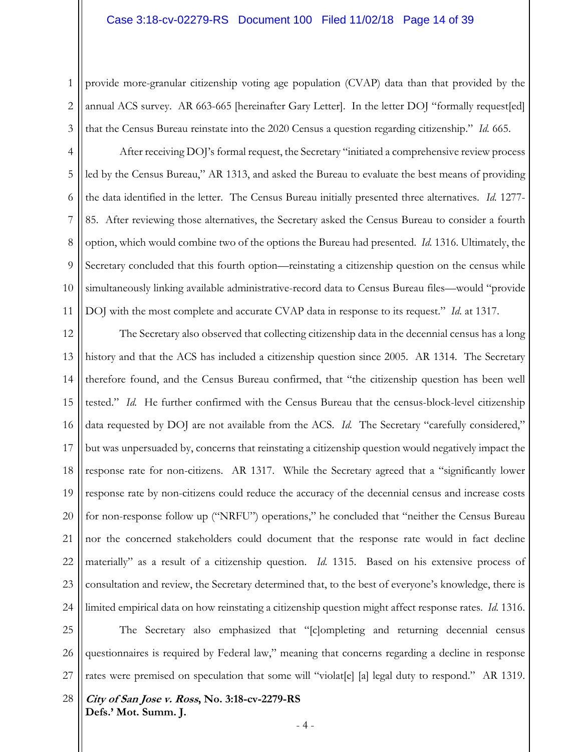1 2 3 provide more-granular citizenship voting age population (CVAP) data than that provided by the annual ACS survey. AR 663-665 [hereinafter Gary Letter]. In the letter DOJ "formally request[ed] that the Census Bureau reinstate into the 2020 Census a question regarding citizenship." *Id.* 665.

4 5 6 7 8 9 10 11 After receiving DOJ's formal request, the Secretary "initiated a comprehensive review process led by the Census Bureau," AR 1313, and asked the Bureau to evaluate the best means of providing the data identified in the letter. The Census Bureau initially presented three alternatives. *Id.* 1277- 85. After reviewing those alternatives, the Secretary asked the Census Bureau to consider a fourth option, which would combine two of the options the Bureau had presented. *Id.* 1316. Ultimately, the Secretary concluded that this fourth option—reinstating a citizenship question on the census while simultaneously linking available administrative-record data to Census Bureau files—would "provide DOJ with the most complete and accurate CVAP data in response to its request." *Id*. at 1317.

12 13 14 15 16 17 18 19 20 21 22 23 24 The Secretary also observed that collecting citizenship data in the decennial census has a long history and that the ACS has included a citizenship question since 2005. AR 1314. The Secretary therefore found, and the Census Bureau confirmed, that "the citizenship question has been well tested." *Id.* He further confirmed with the Census Bureau that the census-block-level citizenship data requested by DOJ are not available from the ACS. *Id.* The Secretary "carefully considered," but was unpersuaded by, concerns that reinstating a citizenship question would negatively impact the response rate for non-citizens. AR 1317. While the Secretary agreed that a "significantly lower response rate by non-citizens could reduce the accuracy of the decennial census and increase costs for non-response follow up ("NRFU") operations," he concluded that "neither the Census Bureau nor the concerned stakeholders could document that the response rate would in fact decline materially" as a result of a citizenship question. *Id.* 1315. Based on his extensive process of consultation and review, the Secretary determined that, to the best of everyone's knowledge, there is limited empirical data on how reinstating a citizenship question might affect response rates. *Id.* 1316.

25 26 27 The Secretary also emphasized that "[c]ompleting and returning decennial census questionnaires is required by Federal law," meaning that concerns regarding a decline in response rates were premised on speculation that some will "violat[e] [a] legal duty to respond." AR 1319.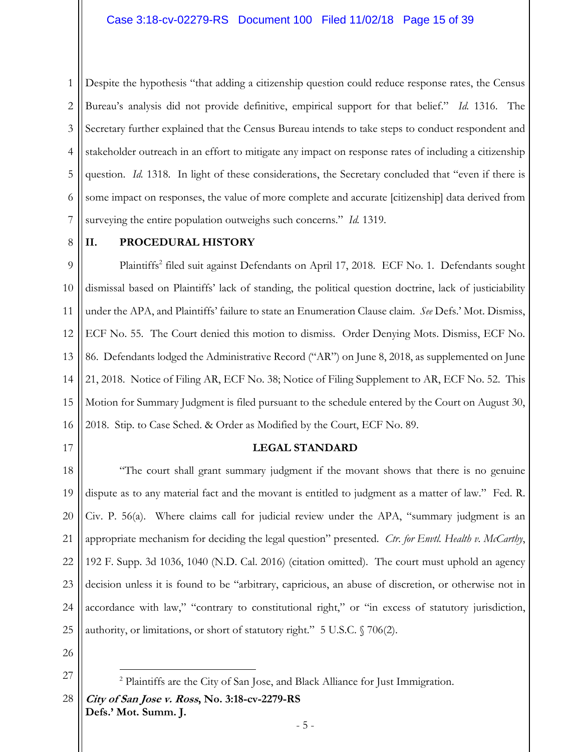1 2 3 4 5 6 7 Despite the hypothesis "that adding a citizenship question could reduce response rates, the Census Bureau's analysis did not provide definitive, empirical support for that belief." *Id.* 1316. The Secretary further explained that the Census Bureau intends to take steps to conduct respondent and stakeholder outreach in an effort to mitigate any impact on response rates of including a citizenship question. *Id.* 1318. In light of these considerations, the Secretary concluded that "even if there is some impact on responses, the value of more complete and accurate [citizenship] data derived from surveying the entire population outweighs such concerns." *Id.* 1319.

8

#### **II. PROCEDURAL HISTORY**

9 10 11 12 13 14 15 16 Plaintiffs<sup>2</sup> filed suit against Defendants on April 17, 2018. ECF No. 1. Defendants sought dismissal based on Plaintiffs' lack of standing, the political question doctrine, lack of justiciability under the APA, and Plaintiffs' failure to state an Enumeration Clause claim. *See* Defs.' Mot. Dismiss, ECF No. 55. The Court denied this motion to dismiss. Order Denying Mots. Dismiss, ECF No. 86. Defendants lodged the Administrative Record ("AR") on June 8, 2018, as supplemented on June 21, 2018. Notice of Filing AR, ECF No. 38; Notice of Filing Supplement to AR, ECF No. 52. This Motion for Summary Judgment is filed pursuant to the schedule entered by the Court on August 30, 2018. Stip. to Case Sched. & Order as Modified by the Court, ECF No. 89.

17

#### **LEGAL STANDARD**

18 19 20 21 22 23 24 25 "The court shall grant summary judgment if the movant shows that there is no genuine dispute as to any material fact and the movant is entitled to judgment as a matter of law." Fed. R. Civ. P. 56(a). Where claims call for judicial review under the APA, "summary judgment is an appropriate mechanism for deciding the legal question" presented. *Ctr. for Envtl. Health v. McCarthy*, 192 F. Supp. 3d 1036, 1040 (N.D. Cal. 2016) (citation omitted). The court must uphold an agency decision unless it is found to be "arbitrary, capricious, an abuse of discretion, or otherwise not in accordance with law," "contrary to constitutional right," or "in excess of statutory jurisdiction, authority, or limitations, or short of statutory right." 5 U.S.C. § 706(2).

26

27

 $\overline{a}$ 

<sup>&</sup>lt;sup>2</sup> Plaintiffs are the City of San Jose, and Black Alliance for Just Immigration.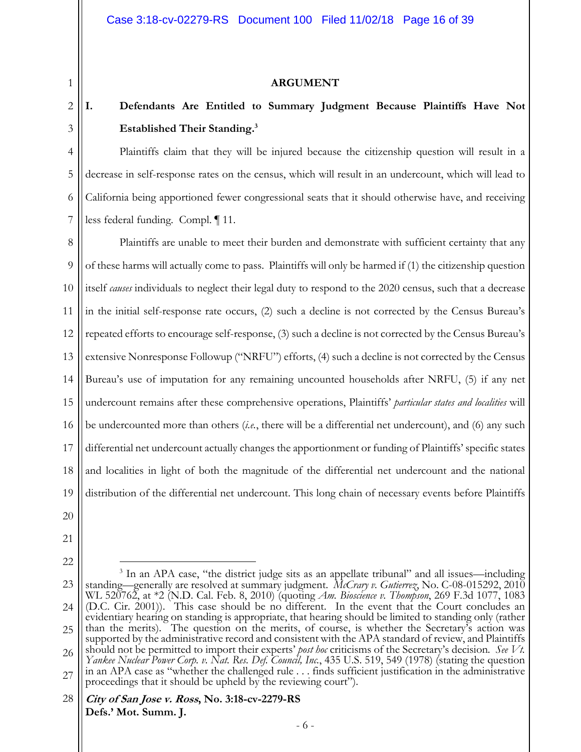#### **ARGUMENT**

# **I. Defendants Are Entitled to Summary Judgment Because Plaintiffs Have Not Established Their Standing.3**

Plaintiffs claim that they will be injured because the citizenship question will result in a decrease in self-response rates on the census, which will result in an undercount, which will lead to California being apportioned fewer congressional seats that it should otherwise have, and receiving less federal funding. Compl. ¶ 11.

8 9 10 11 12 13 14 15 16 17 18 19 Plaintiffs are unable to meet their burden and demonstrate with sufficient certainty that any of these harms will actually come to pass. Plaintiffs will only be harmed if (1) the citizenship question itself *causes* individuals to neglect their legal duty to respond to the 2020 census, such that a decrease in the initial self-response rate occurs, (2) such a decline is not corrected by the Census Bureau's repeated efforts to encourage self-response, (3) such a decline is not corrected by the Census Bureau's extensive Nonresponse Followup ("NRFU") efforts, (4) such a decline is not corrected by the Census Bureau's use of imputation for any remaining uncounted households after NRFU, (5) if any net undercount remains after these comprehensive operations, Plaintiffs' *particular states and localities* will be undercounted more than others (*i.e.*, there will be a differential net undercount), and (6) any such differential net undercount actually changes the apportionment or funding of Plaintiffs' specific states and localities in light of both the magnitude of the differential net undercount and the national distribution of the differential net undercount. This long chain of necessary events before Plaintiffs

20

1

2

3

4

5

6

7

- 21
- 22

 $\overline{a}$ 

23 24 25 26 27 <sup>3</sup> In an APA case, "the district judge sits as an appellate tribunal" and all issues—including standing—generally are resolved at summary judgment. *McCrary v. Gutierrez*, No. C-08-015292, 2010 WL 520762, at \*2 (N.D. Cal. Feb. 8, 2010) (quoting *Am. Bioscience v. Thompson*, 269 F.3d 1077, 1083 (D.C. Cir. 2001)). This case should be no different. In the event that the Court concludes an evidentiary hearing on standing is appropriate, that hearing should be limited to standing only (rather than the merits). The question on the merits, of course, is whether the Secretary's action was supported by the administrative record and consistent with the APA standard of review, and Plaintiffs should not be permitted to import their experts' *post hoc* criticisms of the Secretary's decision*. See Vt. Yankee Nuclear Power Corp. v. Nat. Res. Def. Council, Inc.*, 435 U.S. 519, 549 (1978) (stating the question in an APA case as "whether the challenged rule . . . finds sufficient justification in the administrative proceedings that it should be upheld by the reviewing court").

**City of San Jose v. Ross, No. 3:18-cv-2279-RS Defs.' Mot. Summ. J.**  28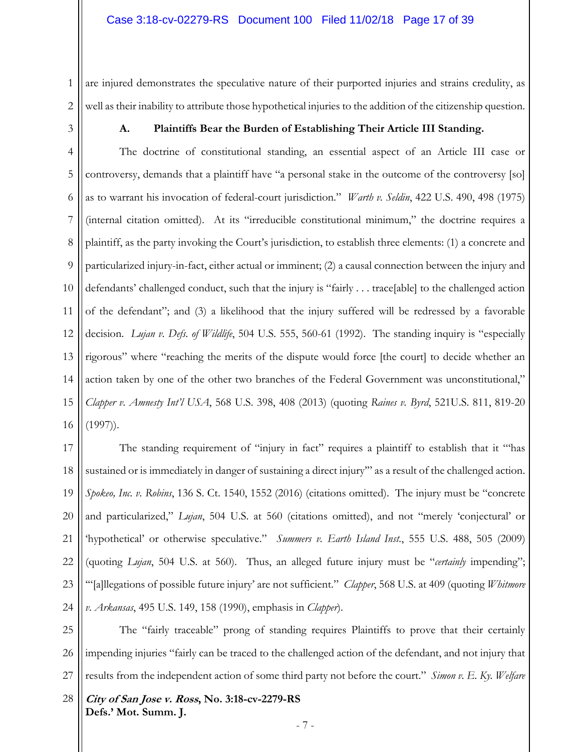1 2 are injured demonstrates the speculative nature of their purported injuries and strains credulity, as well as their inability to attribute those hypothetical injuries to the addition of the citizenship question.

3

#### **A. Plaintiffs Bear the Burden of Establishing Their Article III Standing.**

4 5 6 7 8 9 10 11 12 13 14 15 16 The doctrine of constitutional standing, an essential aspect of an Article III case or controversy, demands that a plaintiff have "a personal stake in the outcome of the controversy [so] as to warrant his invocation of federal-court jurisdiction." *Warth v. Seldin*, 422 U.S. 490, 498 (1975) (internal citation omitted). At its "irreducible constitutional minimum," the doctrine requires a plaintiff, as the party invoking the Court's jurisdiction, to establish three elements: (1) a concrete and particularized injury-in-fact, either actual or imminent; (2) a causal connection between the injury and defendants' challenged conduct, such that the injury is "fairly . . . trace[able] to the challenged action of the defendant"; and (3) a likelihood that the injury suffered will be redressed by a favorable decision. *Lujan v. Defs. of Wildlife*, 504 U.S. 555, 560-61 (1992). The standing inquiry is "especially rigorous" where "reaching the merits of the dispute would force [the court] to decide whether an action taken by one of the other two branches of the Federal Government was unconstitutional," *Clapper v. Amnesty Int'l USA*, 568 U.S. 398, 408 (2013) (quoting *Raines v. Byrd*, 521U.S. 811, 819-20 (1997)).

17 18 19 20 21 22 23 24 The standing requirement of "injury in fact" requires a plaintiff to establish that it "'has sustained or is immediately in danger of sustaining a direct injury" as a result of the challenged action. *Spokeo, Inc. v. Robins*, 136 S. Ct. 1540, 1552 (2016) (citations omitted). The injury must be "concrete and particularized," *Lujan*, 504 U.S. at 560 (citations omitted), and not "merely 'conjectural' or 'hypothetical' or otherwise speculative." *Summers v. Earth Island Inst.*, 555 U.S. 488, 505 (2009) (quoting *Lujan*, 504 U.S. at 560). Thus, an alleged future injury must be "*certainly* impending"; '"[a]llegations of possible future injury' are not sufficient." *Clapper*, 568 U.S. at 409 (quoting *Whitmore v. Arkansas*, 495 U.S. 149, 158 (1990), emphasis in *Clapper*).

25 26 27 The "fairly traceable" prong of standing requires Plaintiffs to prove that their certainly impending injuries "fairly can be traced to the challenged action of the defendant, and not injury that results from the independent action of some third party not before the court." *Simon v. E. Ky. Welfare*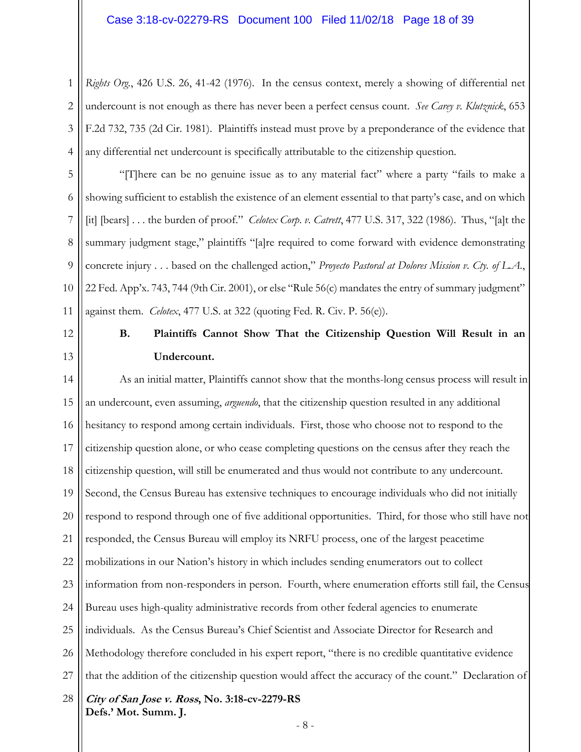1 2 3 4 *Rights Org.*, 426 U.S. 26, 41-42 (1976). In the census context, merely a showing of differential net undercount is not enough as there has never been a perfect census count. *See Carey v. Klutznick*, 653 F.2d 732, 735 (2d Cir. 1981). Plaintiffs instead must prove by a preponderance of the evidence that any differential net undercount is specifically attributable to the citizenship question.

5 6 7 8 9 10 11 "[T]here can be no genuine issue as to any material fact" where a party "fails to make a showing sufficient to establish the existence of an element essential to that party's case, and on which [it] [bears] . . . the burden of proof." *Celotex Corp*. *v. Catrett*, 477 U.S. 317, 322 (1986). Thus, "[a]t the summary judgment stage," plaintiffs "[a]re required to come forward with evidence demonstrating concrete injury . . . based on the challenged action," *Proyecto Pastoral at Dolores Mission v. Cty. of L.A.*, 22 Fed. App'x. 743, 744 (9th Cir. 2001), or else "Rule 56(c) mandates the entry of summary judgment" against them. *Celotex*, 477 U.S. at 322 (quoting Fed. R. Civ. P. 56(e)).

12

13

## **B. Plaintiffs Cannot Show That the Citizenship Question Will Result in an Undercount.**

**City of San Jose v. Ross, No. 3:18-cv-2279-RS Defs.' Mot. Summ. J.**  14 15 16 17 18 19 20 21 22 23 24 25 26 27 28 As an initial matter, Plaintiffs cannot show that the months-long census process will result in an undercount, even assuming, *arguendo*, that the citizenship question resulted in any additional hesitancy to respond among certain individuals. First, those who choose not to respond to the citizenship question alone, or who cease completing questions on the census after they reach the citizenship question, will still be enumerated and thus would not contribute to any undercount. Second, the Census Bureau has extensive techniques to encourage individuals who did not initially respond to respond through one of five additional opportunities. Third, for those who still have not responded, the Census Bureau will employ its NRFU process, one of the largest peacetime mobilizations in our Nation's history in which includes sending enumerators out to collect information from non-responders in person. Fourth, where enumeration efforts still fail, the Census Bureau uses high-quality administrative records from other federal agencies to enumerate individuals. As the Census Bureau's Chief Scientist and Associate Director for Research and Methodology therefore concluded in his expert report, "there is no credible quantitative evidence that the addition of the citizenship question would affect the accuracy of the count." Declaration of

- 8 -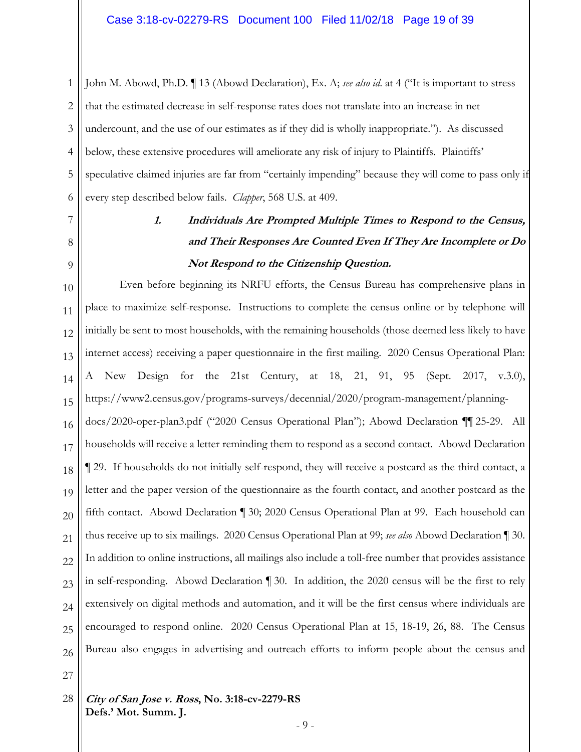1 2 3 4 5 6 John M. Abowd, Ph.D. ¶ 13 (Abowd Declaration), Ex. A; *see also id*. at 4 ("It is important to stress that the estimated decrease in self-response rates does not translate into an increase in net undercount, and the use of our estimates as if they did is wholly inappropriate."). As discussed below, these extensive procedures will ameliorate any risk of injury to Plaintiffs. Plaintiffs' speculative claimed injuries are far from "certainly impending" because they will come to pass only if every step described below fails. *Clapper*, 568 U.S. at 409.

### 8 9

7

# **1. Individuals Are Prompted Multiple Times to Respond to the Census, and Their Responses Are Counted Even If They Are Incomplete or Do Not Respond to the Citizenship Question.**

10 11 12 13 14 15 16 17 18 19 20 21 22 23 24 25 26 Even before beginning its NRFU efforts, the Census Bureau has comprehensive plans in place to maximize self-response. Instructions to complete the census online or by telephone will initially be sent to most households, with the remaining households (those deemed less likely to have internet access) receiving a paper questionnaire in the first mailing. 2020 Census Operational Plan: A New Design for the 21st Century, at 18, 21, 91, 95 (Sept. 2017, v.3.0), https://www2.census.gov/programs-surveys/decennial/2020/program-management/planningdocs/2020-oper-plan3.pdf ("2020 Census Operational Plan"); Abowd Declaration ¶¶ 25-29. All households will receive a letter reminding them to respond as a second contact. Abowd Declaration ¶ 29. If households do not initially self-respond, they will receive a postcard as the third contact, a letter and the paper version of the questionnaire as the fourth contact, and another postcard as the fifth contact. Abowd Declaration ¶ 30; 2020 Census Operational Plan at 99. Each household can thus receive up to six mailings. 2020 Census Operational Plan at 99; *see also* Abowd Declaration ¶ 30. In addition to online instructions, all mailings also include a toll-free number that provides assistance in self-responding. Abowd Declaration ¶ 30. In addition, the 2020 census will be the first to rely extensively on digital methods and automation, and it will be the first census where individuals are encouraged to respond online. 2020 Census Operational Plan at 15, 18-19, 26, 88. The Census Bureau also engages in advertising and outreach efforts to inform people about the census and

27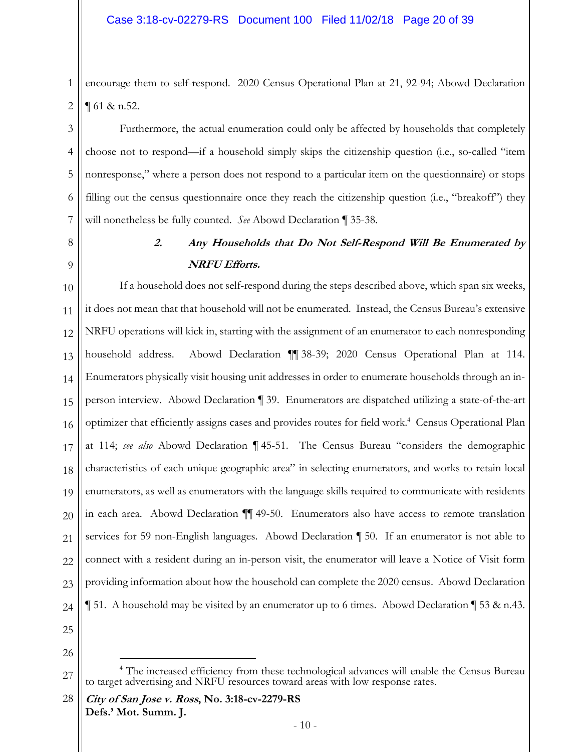2 encourage them to self-respond. 2020 Census Operational Plan at 21, 92-94; Abowd Declaration ¶ 61 & n.52.

Furthermore, the actual enumeration could only be affected by households that completely choose not to respond—if a household simply skips the citizenship question (i.e., so-called "item nonresponse," where a person does not respond to a particular item on the questionnaire) or stops filling out the census questionnaire once they reach the citizenship question (i.e., "breakoff") they will nonetheless be fully counted. *See* Abowd Declaration ¶ 35-38.

8

9

1

3

4

5

6

7

### **2. Any Households that Do Not Self-Respond Will Be Enumerated by NRFU Efforts.**

10 11 12 13 14 15 16 17 18 19 20 21 22 23 24 If a household does not self-respond during the steps described above, which span six weeks, it does not mean that that household will not be enumerated. Instead, the Census Bureau's extensive NRFU operations will kick in, starting with the assignment of an enumerator to each nonresponding household address. Abowd Declaration ¶¶ 38-39; 2020 Census Operational Plan at 114. Enumerators physically visit housing unit addresses in order to enumerate households through an inperson interview. Abowd Declaration ¶ 39. Enumerators are dispatched utilizing a state-of-the-art optimizer that efficiently assigns cases and provides routes for field work.<sup>4</sup> Census Operational Plan at 114; *see also* Abowd Declaration ¶ 45-51. The Census Bureau "considers the demographic characteristics of each unique geographic area" in selecting enumerators, and works to retain local enumerators, as well as enumerators with the language skills required to communicate with residents in each area. Abowd Declaration ¶¶ 49-50. Enumerators also have access to remote translation services for 59 non-English languages. Abowd Declaration ¶ 50. If an enumerator is not able to connect with a resident during an in-person visit, the enumerator will leave a Notice of Visit form providing information about how the household can complete the 2020 census. Abowd Declaration ¶ 51. A household may be visited by an enumerator up to 6 times. Abowd Declaration ¶ 53 & n.43.

25 26

 $\overline{a}$ 

<sup>27</sup> <sup>4</sup> The increased efficiency from these technological advances will enable the Census Bureau to target advertising and NRFU resources toward areas with low response rates.

**City of San Jose v. Ross, No. 3:18-cv-2279-RS Defs.' Mot. Summ. J.**  28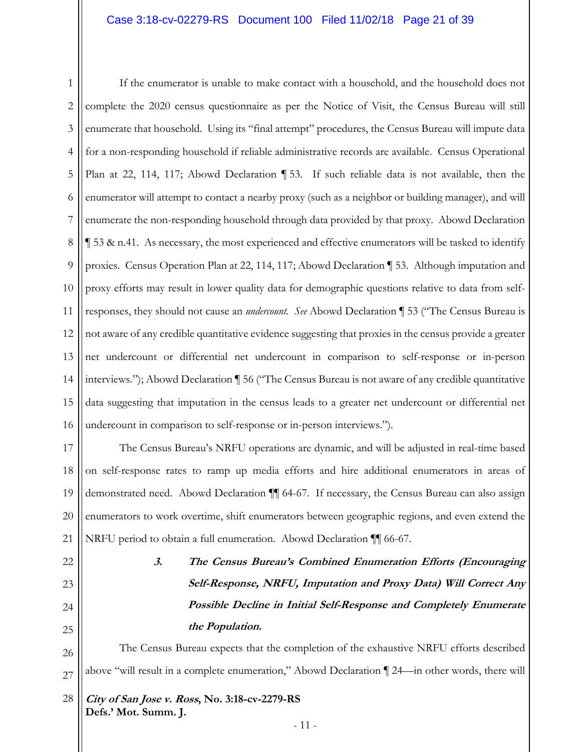1 2 3 4 5 6 7 8 9 10 11 12 13 14 15 16 If the enumerator is unable to make contact with a household, and the household does not complete the 2020 census questionnaire as per the Notice of Visit, the Census Bureau will still enumerate that household. Using its "final attempt" procedures, the Census Bureau will impute data for a non-responding household if reliable administrative records are available. Census Operational Plan at 22, 114, 117; Abowd Declaration ¶ 53. If such reliable data is not available, then the enumerator will attempt to contact a nearby proxy (such as a neighbor or building manager), and will enumerate the non-responding household through data provided by that proxy. Abowd Declaration ¶ 53 & n.41. As necessary, the most experienced and effective enumerators will be tasked to identify proxies. Census Operation Plan at 22, 114, 117; Abowd Declaration ¶ 53. Although imputation and proxy efforts may result in lower quality data for demographic questions relative to data from selfresponses, they should not cause an *undercount*. *See* Abowd Declaration ¶ 53 ("The Census Bureau is not aware of any credible quantitative evidence suggesting that proxies in the census provide a greater net undercount or differential net undercount in comparison to self-response or in-person interviews."); Abowd Declaration ¶ 56 ("The Census Bureau is not aware of any credible quantitative data suggesting that imputation in the census leads to a greater net undercount or differential net undercount in comparison to self-response or in-person interviews.").

17 18 19 20 21 The Census Bureau's NRFU operations are dynamic, and will be adjusted in real-time based on self-response rates to ramp up media efforts and hire additional enumerators in areas of demonstrated need. Abowd Declaration ¶¶ 64-67. If necessary, the Census Bureau can also assign enumerators to work overtime, shift enumerators between geographic regions, and even extend the NRFU period to obtain a full enumeration. Abowd Declaration ¶¶ 66-67.

23 24

25

22

**3. The Census Bureau's Combined Enumeration Efforts (Encouraging Self-Response, NRFU, Imputation and Proxy Data) Will Correct Any Possible Decline in Initial Self-Response and Completely Enumerate the Population.** 

26 27 The Census Bureau expects that the completion of the exhaustive NRFU efforts described above "will result in a complete enumeration," Abowd Declaration ¶ 24—in other words, there will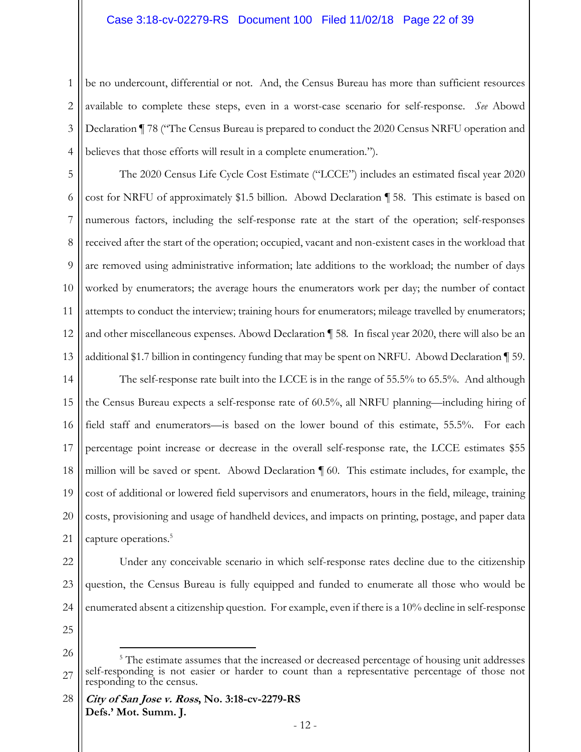#### Case 3:18-cv-02279-RS Document 100 Filed 11/02/18 Page 22 of 39

1 2 3 4 be no undercount, differential or not. And, the Census Bureau has more than sufficient resources available to complete these steps, even in a worst-case scenario for self-response. *See* Abowd Declaration ¶ 78 ("The Census Bureau is prepared to conduct the 2020 Census NRFU operation and believes that those efforts will result in a complete enumeration.").

5 6 7 8 9 10 11 12 13 The 2020 Census Life Cycle Cost Estimate ("LCCE") includes an estimated fiscal year 2020 cost for NRFU of approximately \$1.5 billion. Abowd Declaration ¶ 58. This estimate is based on numerous factors, including the self-response rate at the start of the operation; self-responses received after the start of the operation; occupied, vacant and non-existent cases in the workload that are removed using administrative information; late additions to the workload; the number of days worked by enumerators; the average hours the enumerators work per day; the number of contact attempts to conduct the interview; training hours for enumerators; mileage travelled by enumerators; and other miscellaneous expenses. Abowd Declaration ¶ 58*.* In fiscal year 2020, there will also be an additional \$1.7 billion in contingency funding that may be spent on NRFU. Abowd Declaration ¶ 59.

14 15 16 17 18 19 20 21 The self-response rate built into the LCCE is in the range of 55.5% to 65.5%. And although the Census Bureau expects a self-response rate of 60.5%, all NRFU planning—including hiring of field staff and enumerators—is based on the lower bound of this estimate, 55.5%. For each percentage point increase or decrease in the overall self-response rate, the LCCE estimates \$55 million will be saved or spent. Abowd Declaration  $\P$  60. This estimate includes, for example, the cost of additional or lowered field supervisors and enumerators, hours in the field, mileage, training costs, provisioning and usage of handheld devices, and impacts on printing, postage, and paper data capture operations.<sup>5</sup>

22 23 24 Under any conceivable scenario in which self-response rates decline due to the citizenship question, the Census Bureau is fully equipped and funded to enumerate all those who would be enumerated absent a citizenship question. For example, even if there is a 10% decline in self-response

25

-

<sup>26</sup> 27 <sup>5</sup> The estimate assumes that the increased or decreased percentage of housing unit addresses self-responding is not easier or harder to count than a representative percentage of those not responding to the census.

**City of San Jose v. Ross, No. 3:18-cv-2279-RS Defs.' Mot. Summ. J.**  28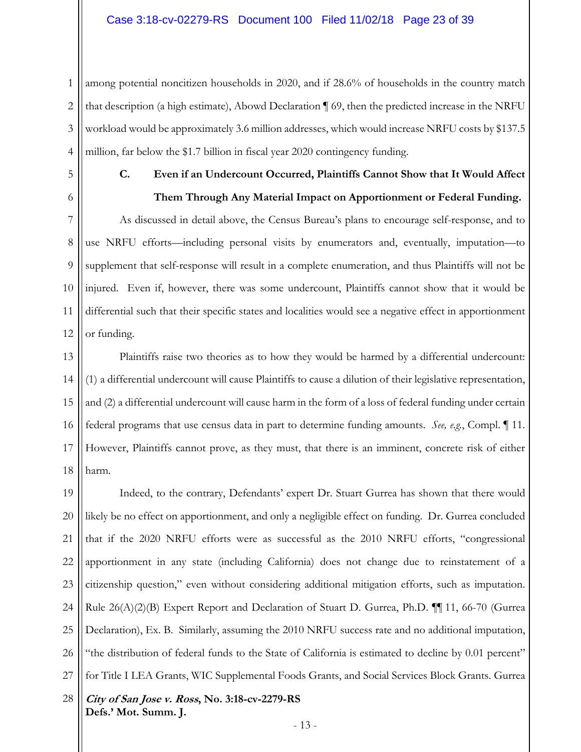1 2 3 4 among potential noncitizen households in 2020, and if 28.6% of households in the country match that description (a high estimate), Abowd Declaration ¶ 69, then the predicted increase in the NRFU workload would be approximately 3.6 million addresses, which would increase NRFU costs by \$137.5 million, far below the \$1.7 billion in fiscal year 2020 contingency funding.

5

6

### **C. Even if an Undercount Occurred, Plaintiffs Cannot Show that It Would Affect Them Through Any Material Impact on Apportionment or Federal Funding.**

7 8 9 10 11 12 As discussed in detail above, the Census Bureau's plans to encourage self-response, and to use NRFU efforts—including personal visits by enumerators and, eventually, imputation—to supplement that self-response will result in a complete enumeration, and thus Plaintiffs will not be injured. Even if, however, there was some undercount, Plaintiffs cannot show that it would be differential such that their specific states and localities would see a negative effect in apportionment or funding.

13 14 15 16 17 18 Plaintiffs raise two theories as to how they would be harmed by a differential undercount: (1) a differential undercount will cause Plaintiffs to cause a dilution of their legislative representation, and (2) a differential undercount will cause harm in the form of a loss of federal funding under certain federal programs that use census data in part to determine funding amounts. *See, e.g.*, Compl. ¶ 11. However, Plaintiffs cannot prove, as they must, that there is an imminent, concrete risk of either harm.

**City of San Jose v. Ross, No. 3:18-cv-2279-RS Defs.' Mot. Summ. J.**  19 20 21 22 23 24 25 26 27 28 Indeed, to the contrary, Defendants' expert Dr. Stuart Gurrea has shown that there would likely be no effect on apportionment, and only a negligible effect on funding. Dr. Gurrea concluded that if the 2020 NRFU efforts were as successful as the 2010 NRFU efforts, "congressional apportionment in any state (including California) does not change due to reinstatement of a citizenship question," even without considering additional mitigation efforts, such as imputation. Rule  $26(A)(2)(B)$  Expert Report and Declaration of Stuart D. Gurrea, Ph.D.  $\P$  11, 66-70 (Gurrea Declaration), Ex. B. Similarly, assuming the 2010 NRFU success rate and no additional imputation, "the distribution of federal funds to the State of California is estimated to decline by 0.01 percent" for Title I LEA Grants, WIC Supplemental Foods Grants, and Social Services Block Grants. Gurrea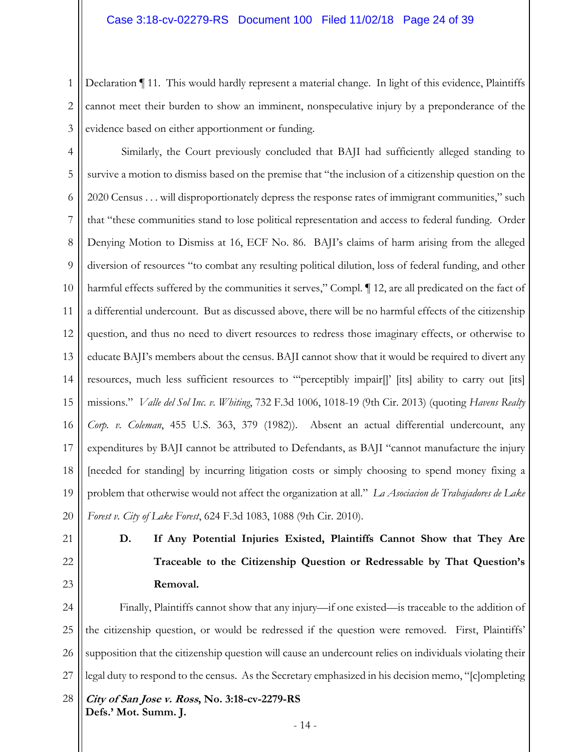1 2 3 Declaration ¶ 11. This would hardly represent a material change. In light of this evidence, Plaintiffs cannot meet their burden to show an imminent, nonspeculative injury by a preponderance of the evidence based on either apportionment or funding.

4 5 6 7 8 9 10 11 12 13 14 15 16 17 18 19 20 Similarly, the Court previously concluded that BAJI had sufficiently alleged standing to survive a motion to dismiss based on the premise that "the inclusion of a citizenship question on the 2020 Census . . . will disproportionately depress the response rates of immigrant communities," such that "these communities stand to lose political representation and access to federal funding. Order Denying Motion to Dismiss at 16, ECF No. 86. BAJI's claims of harm arising from the alleged diversion of resources "to combat any resulting political dilution, loss of federal funding, and other harmful effects suffered by the communities it serves," Compl.  $\P$  12, are all predicated on the fact of a differential undercount. But as discussed above, there will be no harmful effects of the citizenship question, and thus no need to divert resources to redress those imaginary effects, or otherwise to educate BAJI's members about the census. BAJI cannot show that it would be required to divert any resources, much less sufficient resources to "'perceptibly impair[]' [its] ability to carry out [its] missions." *Valle del Sol Inc. v. Whiting*, 732 F.3d 1006, 1018-19 (9th Cir. 2013) (quoting *Havens Realty Corp. v. Coleman*, 455 U.S. 363, 379 (1982)). Absent an actual differential undercount, any expenditures by BAJI cannot be attributed to Defendants, as BAJI "cannot manufacture the injury [needed for standing] by incurring litigation costs or simply choosing to spend money fixing a problem that otherwise would not affect the organization at all." *La Asociacion de Trabajadores de Lake Forest v. City of Lake Forest*, 624 F.3d 1083, 1088 (9th Cir. 2010).

- 21
- 22 23

**D. If Any Potential Injuries Existed, Plaintiffs Cannot Show that They Are Traceable to the Citizenship Question or Redressable by That Question's Removal.** 

**City of San Jose v. Ross, No. 3:18-cv-2279-RS Defs.' Mot. Summ. J.**  24 25 26 27 28 Finally, Plaintiffs cannot show that any injury—if one existed—is traceable to the addition of the citizenship question, or would be redressed if the question were removed. First, Plaintiffs' supposition that the citizenship question will cause an undercount relies on individuals violating their legal duty to respond to the census. As the Secretary emphasized in his decision memo, "[c]ompleting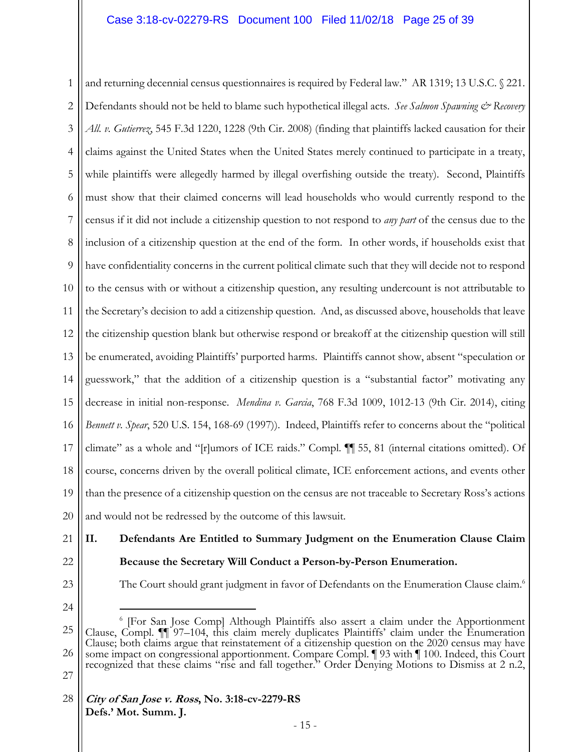1 2 3 4 5 6 7 8 9 10 11 12 13 14 15 16 17 18 19 20 and returning decennial census questionnaires is required by Federal law." AR 1319; 13 U.S.C. § 221. Defendants should not be held to blame such hypothetical illegal acts. *See Salmon Spawning & Recovery All. v. Gutierrez*, 545 F.3d 1220, 1228 (9th Cir. 2008) (finding that plaintiffs lacked causation for their claims against the United States when the United States merely continued to participate in a treaty, while plaintiffs were allegedly harmed by illegal overfishing outside the treaty). Second, Plaintiffs must show that their claimed concerns will lead households who would currently respond to the census if it did not include a citizenship question to not respond to *any part* of the census due to the inclusion of a citizenship question at the end of the form. In other words, if households exist that have confidentiality concerns in the current political climate such that they will decide not to respond to the census with or without a citizenship question, any resulting undercount is not attributable to the Secretary's decision to add a citizenship question. And, as discussed above, households that leave the citizenship question blank but otherwise respond or breakoff at the citizenship question will still be enumerated, avoiding Plaintiffs' purported harms. Plaintiffs cannot show, absent "speculation or guesswork," that the addition of a citizenship question is a "substantial factor" motivating any decrease in initial non-response. *Mendina v. Garcia*, 768 F.3d 1009, 1012-13 (9th Cir. 2014), citing *Bennett v. Spear*, 520 U.S. 154, 168-69 (1997)). Indeed, Plaintiffs refer to concerns about the "political climate" as a whole and "[r]umors of ICE raids." Compl. ¶¶ 55, 81 (internal citations omitted). Of course, concerns driven by the overall political climate, ICE enforcement actions, and events other than the presence of a citizenship question on the census are not traceable to Secretary Ross's actions and would not be redressed by the outcome of this lawsuit.

- 21
- 22

**II. Defendants Are Entitled to Summary Judgment on the Enumeration Clause Claim Because the Secretary Will Conduct a Person-by-Person Enumeration.** 

23

The Court should grant judgment in favor of Defendants on the Enumeration Clause claim.<sup>6</sup>

24

<u>.</u>

25 26 27 6 [For San Jose Comp] Although Plaintiffs also assert a claim under the Apportionment Clause, Compl. II 97–104, this claim merely duplicates Plaintiffs' claim under the Enumeration Clause; both claims argue that reinstatement of a citizenship question on the 2020 census may have some impact on congressional apportionment. Compare Compl. 193 with 100. Indeed, this Court recognized that these claims "rise and fall together." Order Denying Motions to Dismiss at 2 n.2,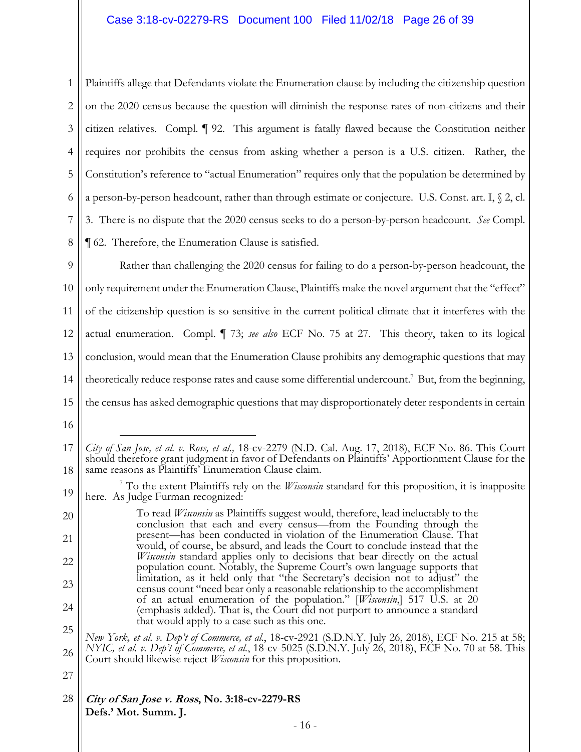1 2 3 4 5 6 7 8 Plaintiffs allege that Defendants violate the Enumeration clause by including the citizenship question on the 2020 census because the question will diminish the response rates of non-citizens and their citizen relatives. Compl. ¶ 92. This argument is fatally flawed because the Constitution neither requires nor prohibits the census from asking whether a person is a U.S. citizen. Rather, the Constitution's reference to "actual Enumeration" requires only that the population be determined by a person-by-person headcount, rather than through estimate or conjecture. U.S. Const. art. I, § 2, cl. 3. There is no dispute that the 2020 census seeks to do a person-by-person headcount. *See* Compl. ¶ 62. Therefore, the Enumeration Clause is satisfied.

9 10 11 12 13 14 15 Rather than challenging the 2020 census for failing to do a person-by-person headcount, the only requirement under the Enumeration Clause, Plaintiffs make the novel argument that the "effect" of the citizenship question is so sensitive in the current political climate that it interferes with the actual enumeration. Compl. ¶ 73; *see also* ECF No. 75 at 27. This theory, taken to its logical conclusion, would mean that the Enumeration Clause prohibits any demographic questions that may theoretically reduce response rates and cause some differential undercount.<sup>7</sup> But, from the beginning, the census has asked demographic questions that may disproportionately deter respondents in certain

 $\overline{a}$ 

27

<sup>16</sup>

<sup>17</sup> 18 *City of San Jose, et al. v. Ross, et al.,* 18-cv-2279 (N.D. Cal. Aug. 17, 2018), ECF No. 86. This Court should therefore grant judgment in favor of Defendants on Plaintiffs' Apportionment Clause for the same reasons as Plaintiffs' Enumeration Clause claim.

<sup>19</sup> 7 To the extent Plaintiffs rely on the *Wisconsin* standard for this proposition, it is inapposite here. As Judge Furman recognized:

<sup>20</sup> 21 22 23 24 To read *Wisconsin* as Plaintiffs suggest would, therefore, lead ineluctably to the conclusion that each and every census—from the Founding through the present—has been conducted in violation of the Enumeration Clause. That would, of course, be absurd, and leads the Court to conclude instead that the *Wisconsin* standard applies only to decisions that bear directly on the actual population count. Notably, the Supreme Court's own language supports that limitation, as it held only that "the Secretary's decision not to adjust" the census count "need bear only a reasonable relationship to the accomplishment of an actual enumeration of the population." [*Wisconsin*,] 517 U.S. at 20 (emphasis added). That is, the Court did not purport to announce a standard that would apply to a case such as this one.

<sup>25</sup> 26 *New York, et al. v. Dep't of Commerce, et al.*, 18-cv-2921 (S.D.N.Y. July 26, 2018), ECF No. 215 at 58; *NYIC, et al. v. Dep't of Commerce, et al.*, 18-cv-5025 (S.D.N.Y. July 26, 2018), ECF No. 70 at 58. This Court should likewise reject *Wisconsin* for this proposition.

**City of San Jose v. Ross, No. 3:18-cv-2279-RS Defs.' Mot. Summ. J.**  28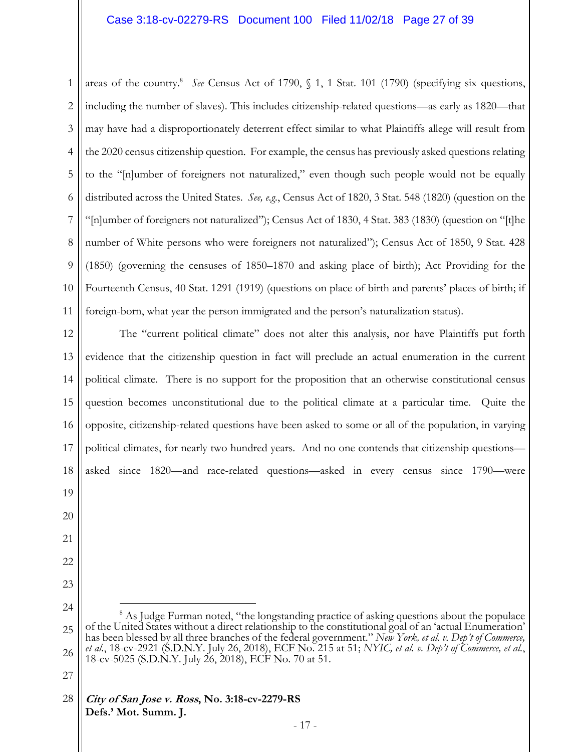1 2 3 4 5 6 7 8 9 10 11 areas of the country.<sup>8</sup> See Census Act of 1790, § 1, 1 Stat. 101 (1790) (specifying six questions, including the number of slaves). This includes citizenship-related questions—as early as 1820—that may have had a disproportionately deterrent effect similar to what Plaintiffs allege will result from the 2020 census citizenship question. For example, the census has previously asked questions relating to the "[n]umber of foreigners not naturalized," even though such people would not be equally distributed across the United States. *See, e.g.*, Census Act of 1820, 3 Stat. 548 (1820) (question on the "[n]umber of foreigners not naturalized"); Census Act of 1830, 4 Stat. 383 (1830) (question on "[t]he number of White persons who were foreigners not naturalized"); Census Act of 1850, 9 Stat. 428 (1850) (governing the censuses of 1850–1870 and asking place of birth); Act Providing for the Fourteenth Census, 40 Stat. 1291 (1919) (questions on place of birth and parents' places of birth; if foreign-born, what year the person immigrated and the person's naturalization status).

12 13 14 15 16 17 18 The "current political climate" does not alter this analysis, nor have Plaintiffs put forth evidence that the citizenship question in fact will preclude an actual enumeration in the current political climate. There is no support for the proposition that an otherwise constitutional census question becomes unconstitutional due to the political climate at a particular time. Quite the opposite, citizenship-related questions have been asked to some or all of the population, in varying political climates, for nearly two hundred years. And no one contends that citizenship questions asked since 1820—and race-related questions—asked in every census since 1790—were

- 24 25 26  $\overline{a}$ <sup>8</sup> As Judge Furman noted, "the longstanding practice of asking questions about the populace of the United States without a direct relationship to the constitutional goal of an 'actual Enumeration' has been blessed by all three branches of the federal government." *New York, et al. v. Dep't of Commerce, et al.*, 18-cv-2921 (S.D.N.Y. July 26, 2018), ECF No. 215 at 51; *NYIC, et al. v. Dep't of Commerce, et al.*, 18-cv-5025 (S.D.N.Y. July 26, 2018), ECF No. 70 at 51.
- 27

19

20

21

22

23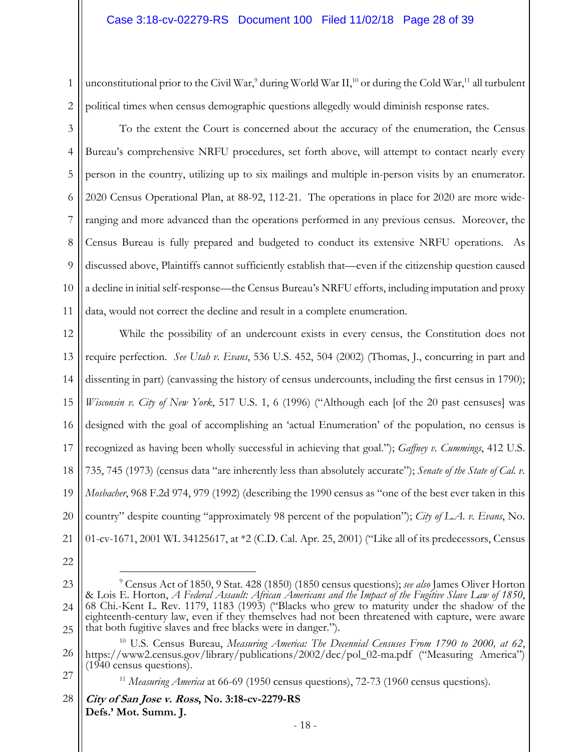2 unconstitutional prior to the Civil War,<sup>9</sup> during World War II,<sup>10</sup> or during the Cold War,<sup>11</sup> all turbulent political times when census demographic questions allegedly would diminish response rates.

3 4 5 6 7 8 9 10 11 To the extent the Court is concerned about the accuracy of the enumeration, the Census Bureau's comprehensive NRFU procedures, set forth above, will attempt to contact nearly every person in the country, utilizing up to six mailings and multiple in-person visits by an enumerator. 2020 Census Operational Plan, at 88-92, 112-21. The operations in place for 2020 are more wideranging and more advanced than the operations performed in any previous census. Moreover, the Census Bureau is fully prepared and budgeted to conduct its extensive NRFU operations. As discussed above, Plaintiffs cannot sufficiently establish that—even if the citizenship question caused a decline in initial self-response—the Census Bureau's NRFU efforts, including imputation and proxy data, would not correct the decline and result in a complete enumeration.

12 13 14 15 16 17 18 19 20 21 While the possibility of an undercount exists in every census, the Constitution does not require perfection. *See Utah v. Evans*, 536 U.S. 452, 504 (2002) (Thomas, J., concurring in part and dissenting in part) (canvassing the history of census undercounts, including the first census in 1790); *Wisconsin v. City of New York*, 517 U.S. 1, 6 (1996) ("Although each [of the 20 past censuses] was designed with the goal of accomplishing an 'actual Enumeration' of the population, no census is recognized as having been wholly successful in achieving that goal."); *Gaffney v. Cummings*, 412 U.S. 735, 745 (1973) (census data "are inherently less than absolutely accurate"); *Senate of the State of Cal. v. Mosbacher*, 968 F.2d 974, 979 (1992) (describing the 1990 census as "one of the best ever taken in this country" despite counting "approximately 98 percent of the population"); *City of L.A. v. Evans*, No. 01-cv-1671, 2001 WL 34125617, at \*2 (C.D. Cal. Apr. 25, 2001) ("Like all of its predecessors, Census

22

 $\overline{a}$ 

1

27

<sup>23</sup> 24 25 9 Census Act of 1850, 9 Stat. 428 (1850) (1850 census questions); *see also* James Oliver Horton & Lois E. Horton, *A Federal Assault: African Americans and the Impact of the Fugitive Slave Law of 1850*, 68 Chi.-Kent L. Rev. 1179, 1183 (1993) ("Blacks who grew to maturity under the shadow of the eighteenth-century law, even if they themselves had not been threatened with capture, were aware that both fugitive slaves and free blacks were in danger.").

<sup>26</sup> <sup>10</sup> U.S. Census Bureau, *Measuring America: The Decennial Censuses From 1790 to 2000, at 62*, https://www2.census.gov/library/publications/2002/dec/pol\_02-ma.pdf ("Measuring America") (1940 census questions).

<sup>&</sup>lt;sup>11</sup> *Measuring America* at 66-69 (1950 census questions), 72-73 (1960 census questions).

**City of San Jose v. Ross, No. 3:18-cv-2279-RS Defs.' Mot. Summ. J.**  28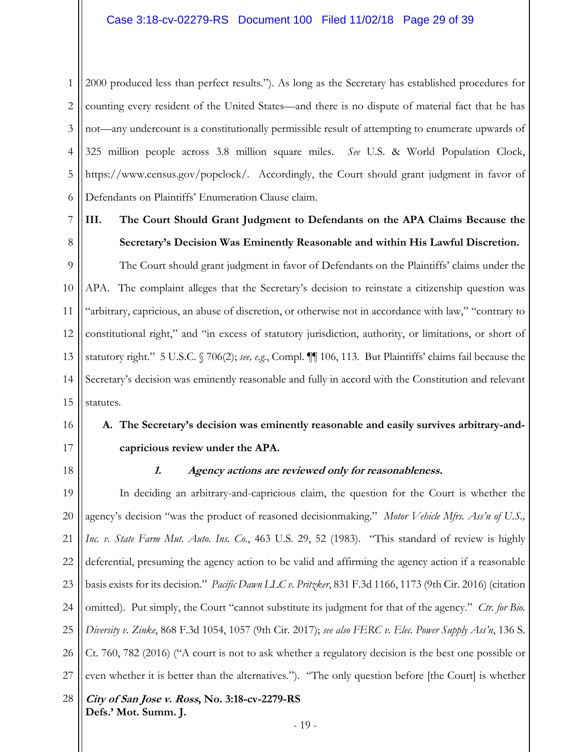1 2 3 4 5 6 2000 produced less than perfect results."). As long as the Secretary has established procedures for counting every resident of the United States—and there is no dispute of material fact that he has not—any undercount is a constitutionally permissible result of attempting to enumerate upwards of 325 million people across 3.8 million square miles. *See* U.S. & World Population Clock, https://www.census.gov/popclock/. Accordingly, the Court should grant judgment in favor of Defendants on Plaintiffs' Enumeration Clause claim.

### 7 8

### **III. The Court Should Grant Judgment to Defendants on the APA Claims Because the Secretary's Decision Was Eminently Reasonable and within His Lawful Discretion.**

9 10 11 12 13 14 15 The Court should grant judgment in favor of Defendants on the Plaintiffs' claims under the APA. The complaint alleges that the Secretary's decision to reinstate a citizenship question was "arbitrary, capricious, an abuse of discretion, or otherwise not in accordance with law," "contrary to constitutional right," and "in excess of statutory jurisdiction, authority, or limitations, or short of statutory right." 5 U.S.C. § 706(2); *see, e.g.*, Compl. ¶¶ 106, 113. But Plaintiffs' claims fail because the Secretary's decision was eminently reasonable and fully in accord with the Constitution and relevant statutes.

# **A. The Secretary's decision was eminently reasonable and easily survives arbitrary-andcapricious review under the APA.**

18

16

17

#### **1. Agency actions are reviewed only for reasonableness.**

**City of San Jose v. Ross, No. 3:18-cv-2279-RS Defs.' Mot. Summ. J.**  19 20 21 22 23 24 25 26 27 28 In deciding an arbitrary-and-capricious claim, the question for the Court is whether the agency's decision "was the product of reasoned decisionmaking." *Motor Vehicle Mfrs. Ass'n of U.S., Inc. v. State Farm Mut. Auto. Ins. Co.*, 463 U.S. 29, 52 (1983). "This standard of review is highly deferential, presuming the agency action to be valid and affirming the agency action if a reasonable basis exists for its decision." *Pacific Dawn LLC v. Pritzker*, 831 F.3d 1166, 1173 (9th Cir. 2016) (citation omitted). Put simply, the Court "cannot substitute its judgment for that of the agency." *Ctr. for Bio. Diversity v. Zinke*, 868 F.3d 1054, 1057 (9th Cir. 2017); *see also FERC v. Elec. Power Supply Ass'n*, 136 S. Ct. 760, 782 (2016) ("A court is not to ask whether a regulatory decision is the best one possible or even whether it is better than the alternatives."). "The only question before [the Court] is whether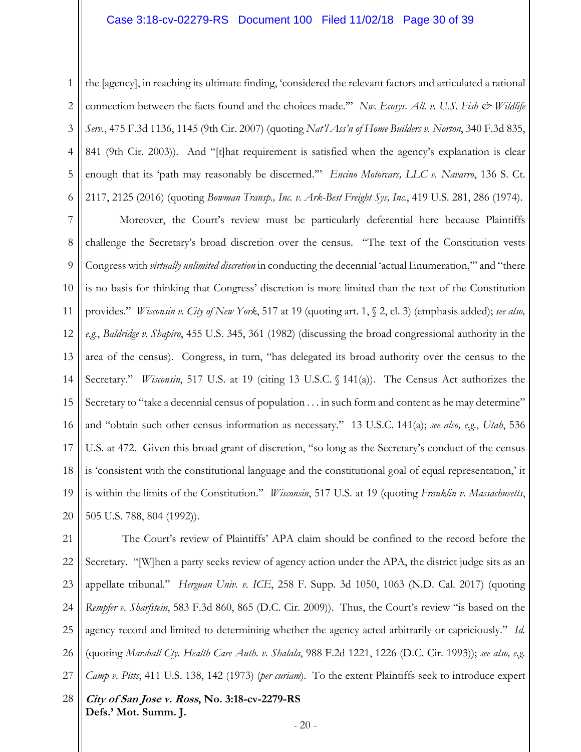1 2 3 4 5 6 the [agency], in reaching its ultimate finding, 'considered the relevant factors and articulated a rational connection between the facts found and the choices made." *Nw. Ecosys. All. v. U.S. Fish & Wildlife Serv.*, 475 F.3d 1136, 1145 (9th Cir. 2007) (quoting *Nat'l Ass'n of Home Builders v. Norton*, 340 F.3d 835, 841 (9th Cir. 2003)). And "[t]hat requirement is satisfied when the agency's explanation is clear enough that its 'path may reasonably be discerned.'" *Encino Motorcars, LLC v. Navarro*, 136 S. Ct. 2117, 2125 (2016) (quoting *Bowman Transp., Inc. v. Ark-Best Freight Sys, Inc.*, 419 U.S. 281, 286 (1974).

7 8 9 10 11 12 13 14 15 16 17 18 19 20 Moreover, the Court's review must be particularly deferential here because Plaintiffs challenge the Secretary's broad discretion over the census. "The text of the Constitution vests Congress with *virtually unlimited discretion* in conducting the decennial 'actual Enumeration,'" and "there is no basis for thinking that Congress' discretion is more limited than the text of the Constitution provides." *Wisconsin v. City of New York*, 517 at 19 (quoting art. 1, § 2, cl. 3) (emphasis added); *see also, e.g.*, *Baldridge v. Shapiro*, 455 U.S. 345, 361 (1982) (discussing the broad congressional authority in the area of the census). Congress, in turn, "has delegated its broad authority over the census to the Secretary." *Wisconsin*, 517 U.S. at 19 (citing 13 U.S.C. § 141(a)). The Census Act authorizes the Secretary to "take a decennial census of population . . . in such form and content as he may determine" and "obtain such other census information as necessary." 13 U.S.C. 141(a); *see also, e.g.*, *Utah*, 536 U.S. at 472. Given this broad grant of discretion, "so long as the Secretary's conduct of the census is 'consistent with the constitutional language and the constitutional goal of equal representation,' it is within the limits of the Constitution." *Wisconsin*, 517 U.S. at 19 (quoting *Franklin v. Massachusetts*, 505 U.S. 788, 804 (1992)).

**City of San Jose v. Ross, No. 3:18-cv-2279-RS Defs.' Mot. Summ. J.**  21 22 23 24 25 26 27 28 The Court's review of Plaintiffs' APA claim should be confined to the record before the Secretary. "[W]hen a party seeks review of agency action under the APA, the district judge sits as an appellate tribunal." *Herguan Univ. v. ICE*, 258 F. Supp. 3d 1050, 1063 (N.D. Cal. 2017) (quoting *Rempfer v. Sharfstein*, 583 F.3d 860, 865 (D.C. Cir. 2009)). Thus, the Court's review "is based on the agency record and limited to determining whether the agency acted arbitrarily or capriciously." *Id.* (quoting *Marshall Cty. Health Care Auth. v. Shalala*, 988 F.2d 1221, 1226 (D.C. Cir. 1993)); *see also, e.g. Camp v. Pitts*, 411 U.S. 138, 142 (1973) (*per curiam*). To the extent Plaintiffs seek to introduce expert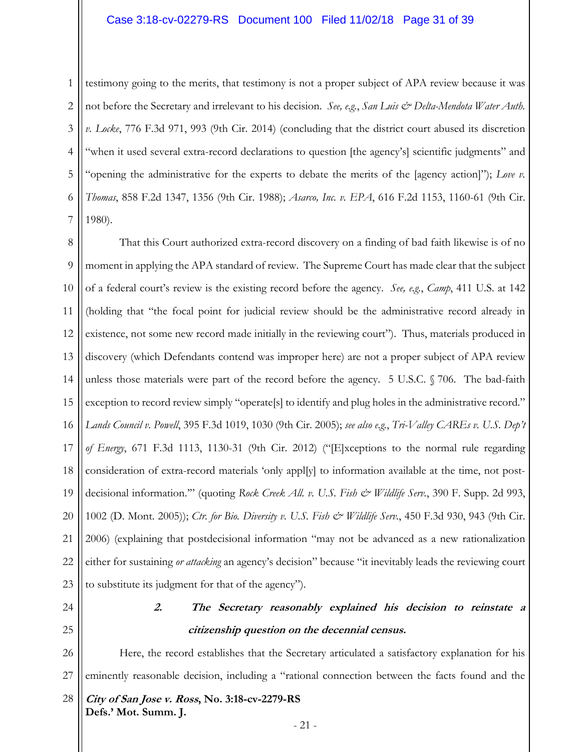1 2 3 4 5 6 7 testimony going to the merits, that testimony is not a proper subject of APA review because it was not before the Secretary and irrelevant to his decision. *See, e.g.*, *San Luis & Delta-Mendota Water Auth. v. Locke*, 776 F.3d 971, 993 (9th Cir. 2014) (concluding that the district court abused its discretion "when it used several extra-record declarations to question [the agency's] scientific judgments" and "opening the administrative for the experts to debate the merits of the [agency action]"); *Love v. Thomas*, 858 F.2d 1347, 1356 (9th Cir. 1988); *Asarco, Inc. v. EPA*, 616 F.2d 1153, 1160-61 (9th Cir. 1980).

8 9 10 11 12 13 14 15 16 17 18 19 20 21 22 23 That this Court authorized extra-record discovery on a finding of bad faith likewise is of no moment in applying the APA standard of review. The Supreme Court has made clear that the subject of a federal court's review is the existing record before the agency. *See, e.g.*, *Camp*, 411 U.S. at 142 (holding that "the focal point for judicial review should be the administrative record already in existence, not some new record made initially in the reviewing court"). Thus, materials produced in discovery (which Defendants contend was improper here) are not a proper subject of APA review unless those materials were part of the record before the agency. 5 U.S.C. § 706. The bad-faith exception to record review simply "operate[s] to identify and plug holes in the administrative record." *Lands Council v. Powell*, 395 F.3d 1019, 1030 (9th Cir. 2005); *see also e.g.*, *Tri-Valley CAREs v. U.S. Dep't of Energy*, 671 F.3d 1113, 1130-31 (9th Cir. 2012) ("[E]xceptions to the normal rule regarding consideration of extra-record materials 'only appl[y] to information available at the time, not postdecisional information.'" (quoting *Rock Creek All. v. U.S. Fish & Wildlife Serv.*, 390 F. Supp. 2d 993, 1002 (D. Mont. 2005)); *Ctr. for Bio. Diversity v. U.S. Fish & Wildlife Serv.*, 450 F.3d 930, 943 (9th Cir. 2006) (explaining that postdecisional information "may not be advanced as a new rationalization either for sustaining *or attacking* an agency's decision" because "it inevitably leads the reviewing court to substitute its judgment for that of the agency").

24

25

# **2. The Secretary reasonably explained his decision to reinstate a citizenship question on the decennial census.**

**City of San Jose v. Ross, No. 3:18-cv-2279-RS**  26 27 28 Here, the record establishes that the Secretary articulated a satisfactory explanation for his eminently reasonable decision, including a "rational connection between the facts found and the

**Defs.' Mot. Summ. J.**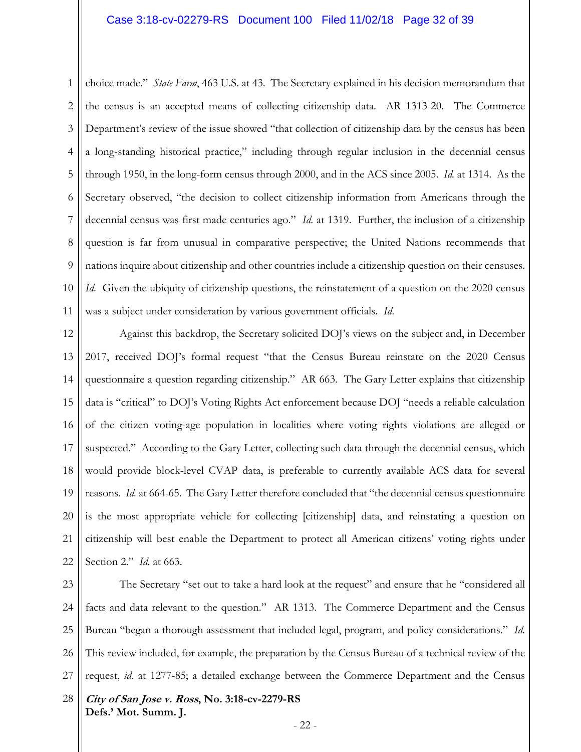1 2 3 4 5 6 7 8 9 10 11 choice made." *State Farm*, 463 U.S. at 43. The Secretary explained in his decision memorandum that the census is an accepted means of collecting citizenship data. AR 1313-20. The Commerce Department's review of the issue showed "that collection of citizenship data by the census has been a long-standing historical practice," including through regular inclusion in the decennial census through 1950, in the long-form census through 2000, and in the ACS since 2005. *Id.* at 1314. As the Secretary observed, "the decision to collect citizenship information from Americans through the decennial census was first made centuries ago." *Id*. at 1319. Further, the inclusion of a citizenship question is far from unusual in comparative perspective; the United Nations recommends that nations inquire about citizenship and other countries include a citizenship question on their censuses. *Id.* Given the ubiquity of citizenship questions, the reinstatement of a question on the 2020 census was a subject under consideration by various government officials. *Id*.

12 13 14 15 16 17 18 19 20 21 22 Against this backdrop, the Secretary solicited DOJ's views on the subject and, in December 2017, received DOJ's formal request "that the Census Bureau reinstate on the 2020 Census questionnaire a question regarding citizenship." AR 663. The Gary Letter explains that citizenship data is "critical" to DOJ's Voting Rights Act enforcement because DOJ "needs a reliable calculation of the citizen voting-age population in localities where voting rights violations are alleged or suspected." According to the Gary Letter, collecting such data through the decennial census, which would provide block-level CVAP data, is preferable to currently available ACS data for several reasons. *Id.* at 664-65. The Gary Letter therefore concluded that "the decennial census questionnaire is the most appropriate vehicle for collecting [citizenship] data, and reinstating a question on citizenship will best enable the Department to protect all American citizens' voting rights under Section 2." *Id.* at 663.

**City of San Jose v. Ross, No. 3:18-cv-2279-RS Defs.' Mot. Summ. J.**  23 24 25 26 27 28 The Secretary "set out to take a hard look at the request" and ensure that he "considered all facts and data relevant to the question." AR 1313. The Commerce Department and the Census Bureau "began a thorough assessment that included legal, program, and policy considerations." *Id.* This review included, for example, the preparation by the Census Bureau of a technical review of the request, *id.* at 1277-85; a detailed exchange between the Commerce Department and the Census

- 22 -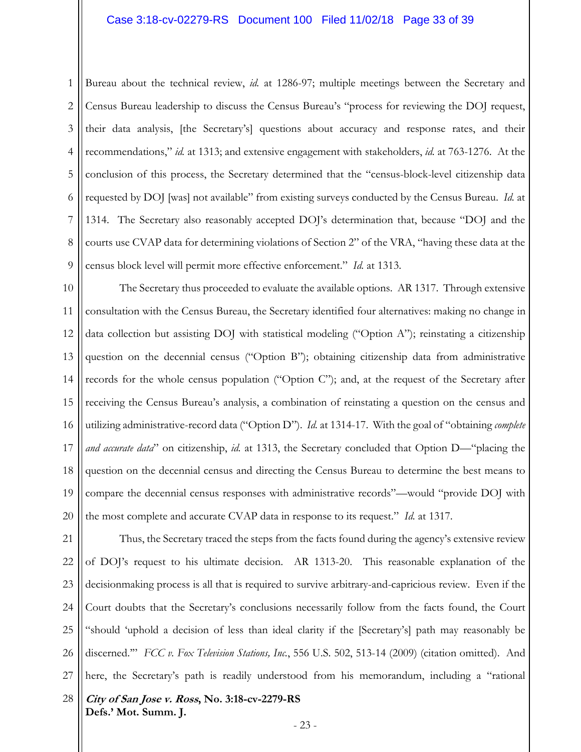1 2 3 4 5 6 7 8 9 Bureau about the technical review, *id.* at 1286-97; multiple meetings between the Secretary and Census Bureau leadership to discuss the Census Bureau's "process for reviewing the DOJ request, their data analysis, [the Secretary's] questions about accuracy and response rates, and their recommendations," *id.* at 1313; and extensive engagement with stakeholders, *id.* at 763-1276. At the conclusion of this process, the Secretary determined that the "census-block-level citizenship data requested by DOJ [was] not available" from existing surveys conducted by the Census Bureau. *Id.* at 1314. The Secretary also reasonably accepted DOJ's determination that, because "DOJ and the courts use CVAP data for determining violations of Section 2" of the VRA, "having these data at the census block level will permit more effective enforcement." *Id.* at 1313.

10 11 12 13 14 15 16 17 18 19 20 The Secretary thus proceeded to evaluate the available options. AR 1317. Through extensive consultation with the Census Bureau, the Secretary identified four alternatives: making no change in data collection but assisting DOJ with statistical modeling ("Option A"); reinstating a citizenship question on the decennial census ("Option B"); obtaining citizenship data from administrative records for the whole census population ("Option C"); and, at the request of the Secretary after receiving the Census Bureau's analysis, a combination of reinstating a question on the census and utilizing administrative-record data ("Option D"). *Id.* at 1314-17. With the goal of "obtaining *complete and accurate data*" on citizenship, *id.* at 1313, the Secretary concluded that Option D—"placing the question on the decennial census and directing the Census Bureau to determine the best means to compare the decennial census responses with administrative records"—would "provide DOJ with the most complete and accurate CVAP data in response to its request." *Id.* at 1317.

**City of San Jose v. Ross, No. 3:18-cv-2279-RS Defs.' Mot. Summ. J.**  21 22 23 24 25 26 27 28 Thus, the Secretary traced the steps from the facts found during the agency's extensive review of DOJ's request to his ultimate decision. AR 1313-20. This reasonable explanation of the decisionmaking process is all that is required to survive arbitrary-and-capricious review. Even if the Court doubts that the Secretary's conclusions necessarily follow from the facts found, the Court "should 'uphold a decision of less than ideal clarity if the [Secretary's] path may reasonably be discerned.'" *FCC v. Fox Television Stations, Inc.*, 556 U.S. 502, 513-14 (2009) (citation omitted). And here, the Secretary's path is readily understood from his memorandum, including a "rational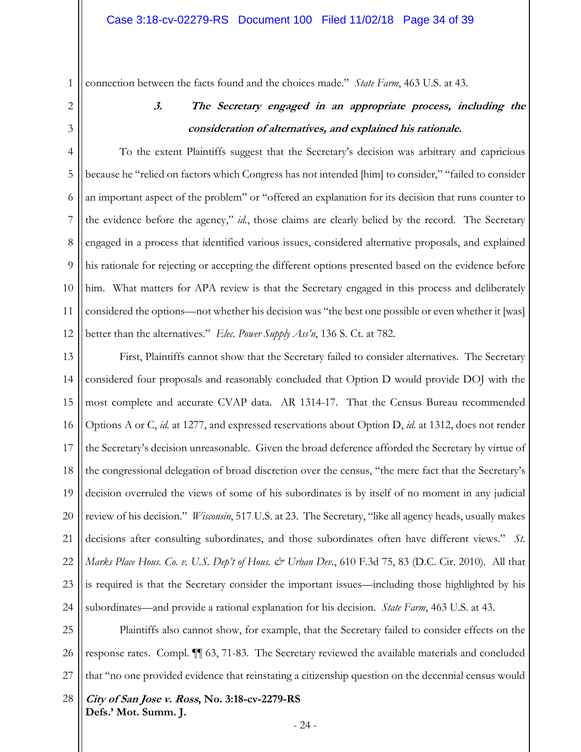connection between the facts found and the choices made." *State Farm*, 463 U.S. at 43.

1

2

3

# **3. The Secretary engaged in an appropriate process, including the consideration of alternatives, and explained his rationale.**

4 5 6 7 8 9 10 11 12 To the extent Plaintiffs suggest that the Secretary's decision was arbitrary and capricious because he "relied on factors which Congress has not intended [him] to consider," "failed to consider an important aspect of the problem" or "offered an explanation for its decision that runs counter to the evidence before the agency," *id.*, those claims are clearly belied by the record. The Secretary engaged in a process that identified various issues, considered alternative proposals, and explained his rationale for rejecting or accepting the different options presented based on the evidence before him. What matters for APA review is that the Secretary engaged in this process and deliberately considered the options—not whether his decision was "the best one possible or even whether it [was] better than the alternatives." *Elec. Power Supply Ass'n*, 136 S. Ct. at 782.

13 14 15 16 17 18 19 20 21 22 23 24 First, Plaintiffs cannot show that the Secretary failed to consider alternatives. The Secretary considered four proposals and reasonably concluded that Option D would provide DOJ with the most complete and accurate CVAP data. AR 1314-17. That the Census Bureau recommended Options A or C, *id.* at 1277, and expressed reservations about Option D, *id.* at 1312, does not render the Secretary's decision unreasonable. Given the broad deference afforded the Secretary by virtue of the congressional delegation of broad discretion over the census, "the mere fact that the Secretary's decision overruled the views of some of his subordinates is by itself of no moment in any judicial review of his decision." *Wisconsin*, 517 U.S. at 23. The Secretary, "like all agency heads, usually makes decisions after consulting subordinates, and those subordinates often have different views." *St. Marks Place Hous. Co. v. U.S. Dep't of Hous. & Urban Dev.*, 610 F.3d 75, 83 (D.C. Cir. 2010). All that is required is that the Secretary consider the important issues—including those highlighted by his subordinates—and provide a rational explanation for his decision. *State Farm*, 463 U.S. at 43.

25 26 27 Plaintiffs also cannot show, for example, that the Secretary failed to consider effects on the response rates. Compl. ¶¶ 63, 71-83. The Secretary reviewed the available materials and concluded that "no one provided evidence that reinstating a citizenship question on the decennial census would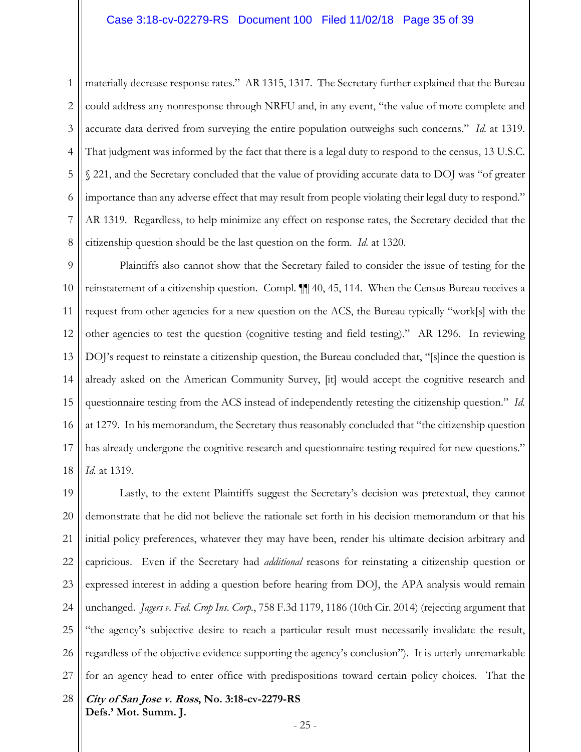materially decrease response rates." AR 1315, 1317. The Secretary further explained that the Bureau could address any nonresponse through NRFU and, in any event, "the value of more complete and accurate data derived from surveying the entire population outweighs such concerns." *Id.* at 1319. That judgment was informed by the fact that there is a legal duty to respond to the census, 13 U.S.C. § 221, and the Secretary concluded that the value of providing accurate data to DOJ was "of greater importance than any adverse effect that may result from people violating their legal duty to respond." AR 1319. Regardless, to help minimize any effect on response rates, the Secretary decided that the citizenship question should be the last question on the form. *Id.* at 1320.

9 10 11 12 13 14 15 16 17 18 Plaintiffs also cannot show that the Secretary failed to consider the issue of testing for the reinstatement of a citizenship question. Compl. ¶¶ 40, 45, 114. When the Census Bureau receives a request from other agencies for a new question on the ACS, the Bureau typically "work[s] with the other agencies to test the question (cognitive testing and field testing)." AR 1296. In reviewing DOJ's request to reinstate a citizenship question, the Bureau concluded that, "[s]ince the question is already asked on the American Community Survey, [it] would accept the cognitive research and questionnaire testing from the ACS instead of independently retesting the citizenship question." *Id.* at 1279. In his memorandum, the Secretary thus reasonably concluded that "the citizenship question has already undergone the cognitive research and questionnaire testing required for new questions." *Id.* at 1319.

**City of San Jose v. Ross, No. 3:18-cv-2279-RS**  19 20 21 22 23 24 25 26 27 28 Lastly, to the extent Plaintiffs suggest the Secretary's decision was pretextual, they cannot demonstrate that he did not believe the rationale set forth in his decision memorandum or that his initial policy preferences, whatever they may have been, render his ultimate decision arbitrary and capricious. Even if the Secretary had *additional* reasons for reinstating a citizenship question or expressed interest in adding a question before hearing from DOJ, the APA analysis would remain unchanged. *Jagers v. Fed. Crop Ins. Corp.*, 758 F.3d 1179, 1186 (10th Cir. 2014) (rejecting argument that "the agency's subjective desire to reach a particular result must necessarily invalidate the result, regardless of the objective evidence supporting the agency's conclusion"). It is utterly unremarkable for an agency head to enter office with predispositions toward certain policy choices*.* That the

1

2

3

4

5

6

7

8

**Defs.' Mot. Summ. J.**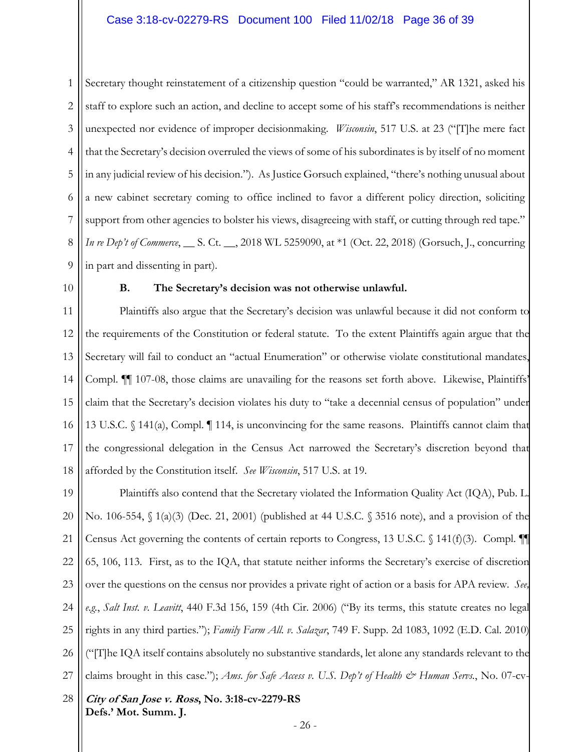1 2 3 4 5 6 7 8 9 Secretary thought reinstatement of a citizenship question "could be warranted," AR 1321, asked his staff to explore such an action, and decline to accept some of his staff's recommendations is neither unexpected nor evidence of improper decisionmaking. *Wisconsin*, 517 U.S. at 23 ("[T]he mere fact that the Secretary's decision overruled the views of some of his subordinates is by itself of no moment in any judicial review of his decision."). As Justice Gorsuch explained, "there's nothing unusual about a new cabinet secretary coming to office inclined to favor a different policy direction, soliciting support from other agencies to bolster his views, disagreeing with staff, or cutting through red tape." *In re Dep't of Commerce*, \_\_ S. Ct. \_\_, 2018 WL 5259090, at \*1 (Oct. 22, 2018) (Gorsuch, J., concurring in part and dissenting in part).

10

#### **B. The Secretary's decision was not otherwise unlawful.**

11 12 13 14 15 16 17 18 Plaintiffs also argue that the Secretary's decision was unlawful because it did not conform to the requirements of the Constitution or federal statute. To the extent Plaintiffs again argue that the Secretary will fail to conduct an "actual Enumeration" or otherwise violate constitutional mandates, Compl. ¶¶ 107-08, those claims are unavailing for the reasons set forth above. Likewise, Plaintiffs' claim that the Secretary's decision violates his duty to "take a decennial census of population" under 13 U.S.C. § 141(a), Compl. ¶ 114, is unconvincing for the same reasons. Plaintiffs cannot claim that the congressional delegation in the Census Act narrowed the Secretary's discretion beyond that afforded by the Constitution itself. *See Wisconsin*, 517 U.S. at 19.

19 20 21 22 23 24 25 26 27 Plaintiffs also contend that the Secretary violated the Information Quality Act (IQA), Pub. L. No. 106-554, § 1(a)(3) (Dec. 21, 2001) (published at 44 U.S.C. § 3516 note), and a provision of the Census Act governing the contents of certain reports to Congress, 13 U.S.C.  $\{\frac{141(f)(3)}{2}\}$ . Compl. 65, 106, 113. First, as to the IQA, that statute neither informs the Secretary's exercise of discretion over the questions on the census nor provides a private right of action or a basis for APA review. *See, e.g.*, *Salt Inst. v. Leavitt*, 440 F.3d 156, 159 (4th Cir. 2006) ("By its terms, this statute creates no legal rights in any third parties."); *Family Farm All. v. Salazar*, 749 F. Supp. 2d 1083, 1092 (E.D. Cal. 2010) ("[T]he IQA itself contains absolutely no substantive standards, let alone any standards relevant to the claims brought in this case."); *Ams. for Safe Access v. U.S. Dep't of Health & Human Servs.*, No. 07-cv-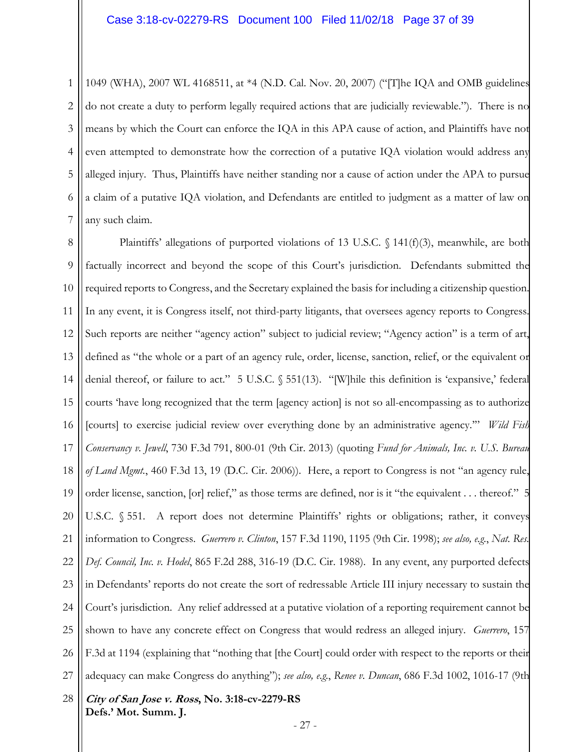1 2 3 4 5 6 7 1049 (WHA), 2007 WL 4168511, at \*4 (N.D. Cal. Nov. 20, 2007) ("[T]he IQA and OMB guidelines do not create a duty to perform legally required actions that are judicially reviewable."). There is no means by which the Court can enforce the IQA in this APA cause of action, and Plaintiffs have not even attempted to demonstrate how the correction of a putative IQA violation would address any alleged injury. Thus, Plaintiffs have neither standing nor a cause of action under the APA to pursue a claim of a putative IQA violation, and Defendants are entitled to judgment as a matter of law on any such claim.

**City of San Jose v. Ross, No. 3:18-cv-2279-RS**  8 9 10 11 12 13 14 15 16 17 18 19 20 21 22 23 24 25 26 27 28 Plaintiffs' allegations of purported violations of 13 U.S.C.  $\setminus$  141(f)(3), meanwhile, are both factually incorrect and beyond the scope of this Court's jurisdiction. Defendants submitted the required reports to Congress, and the Secretary explained the basis for including a citizenship question. In any event, it is Congress itself, not third-party litigants, that oversees agency reports to Congress. Such reports are neither "agency action" subject to judicial review; "Agency action" is a term of art, defined as "the whole or a part of an agency rule, order, license, sanction, relief, or the equivalent or denial thereof, or failure to act." 5 U.S.C. § 551(13). "[W]hile this definition is 'expansive,' federal courts 'have long recognized that the term [agency action] is not so all-encompassing as to authorize [courts] to exercise judicial review over everything done by an administrative agency.'" *Wild Fish Conservancy v. Jewell*, 730 F.3d 791, 800-01 (9th Cir. 2013) (quoting *Fund for Animals, Inc. v. U.S. Bureau of Land Mgmt.*, 460 F.3d 13, 19 (D.C. Cir. 2006)). Here, a report to Congress is not "an agency rule, order license, sanction, [or] relief," as those terms are defined, nor is it "the equivalent . . . thereof." 5 U.S.C. § 551. A report does not determine Plaintiffs' rights or obligations; rather, it conveys information to Congress. *Guerrero v. Clinton*, 157 F.3d 1190, 1195 (9th Cir. 1998); *see also, e.g.*, *Nat. Res. Def. Council, Inc. v. Hodel*, 865 F.2d 288, 316-19 (D.C. Cir. 1988). In any event, any purported defects in Defendants' reports do not create the sort of redressable Article III injury necessary to sustain the Court's jurisdiction. Any relief addressed at a putative violation of a reporting requirement cannot be shown to have any concrete effect on Congress that would redress an alleged injury. *Guerrero*, 157 F.3d at 1194 (explaining that "nothing that [the Court] could order with respect to the reports or their adequacy can make Congress do anything"); *see also, e.g.*, *Renee v. Duncan*, 686 F.3d 1002, 1016-17 (9th

**Defs.' Mot. Summ. J.**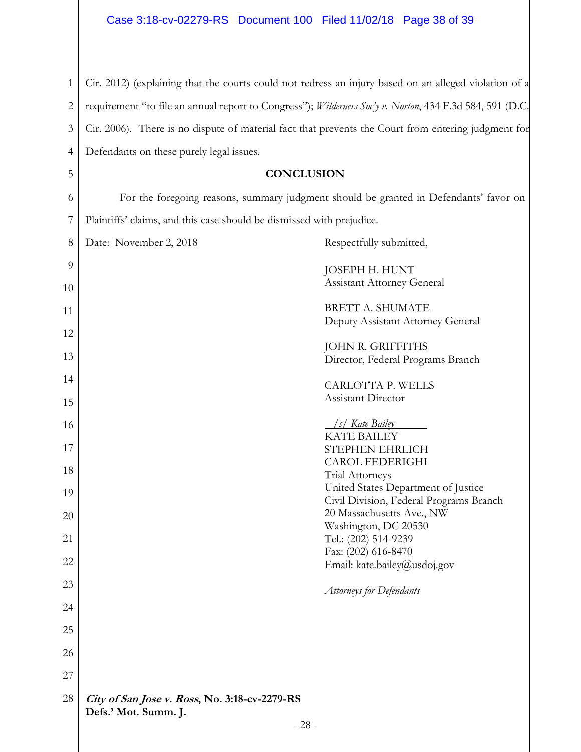$\mathbf{\mathbf{\mathsf{I}}}\mathbf{\mathsf{I}}$ 

 $\parallel$ 

| $\mathbf{1}$   | Cir. 2012) (explaining that the courts could not redress an injury based on an alleged violation of a    |
|----------------|----------------------------------------------------------------------------------------------------------|
| $\overline{2}$ | requirement "to file an annual report to Congress"); Wilderness Soc'y v. Norton, 434 F.3d 584, 591 (D.C. |
| 3              | Cir. 2006). There is no dispute of material fact that prevents the Court from entering judgment for      |
| $\overline{4}$ | Defendants on these purely legal issues.                                                                 |
| 5              | <b>CONCLUSION</b>                                                                                        |
| 6              | For the foregoing reasons, summary judgment should be granted in Defendants' favor on                    |
| 7              | Plaintiffs' claims, and this case should be dismissed with prejudice.                                    |
| 8              | Respectfully submitted,<br>Date: November 2, 2018                                                        |
| 9<br>10        | JOSEPH H. HUNT<br><b>Assistant Attorney General</b>                                                      |
| 11             | <b>BRETT A. SHUMATE</b>                                                                                  |
| 12             | Deputy Assistant Attorney General                                                                        |
| 13             | JOHN R. GRIFFITHS<br>Director, Federal Programs Branch                                                   |
| 14             | CARLOTTA P. WELLS                                                                                        |
| 15             | Assistant Director                                                                                       |
| 16             | /s/ Kate Bailey                                                                                          |
| 17             | <b>KATE BAILEY</b><br>STEPHEN EHRLICH                                                                    |
| 18             | <b>CAROL FEDERIGHI</b><br>Trial Attorneys                                                                |
| 19             | United States Department of Justice<br>Civil Division, Federal Programs Branch                           |
| 20             | 20 Massachusetts Ave., NW<br>Washington, DC 20530                                                        |
| 21             | Tel.: (202) 514-9239<br>Fax: (202) 616-8470                                                              |
| 22             | Email: kate.bailey@usdoj.gov                                                                             |
| 23             | <b>Attorneys for Defendants</b>                                                                          |
| 24             |                                                                                                          |
| 25             |                                                                                                          |
| 26             |                                                                                                          |
| 27             |                                                                                                          |
| 28             | City of San Jose v. Ross, No. 3:18-cv-2279-RS<br>Defs.' Mot. Summ. J.                                    |
|                | $-28-$                                                                                                   |